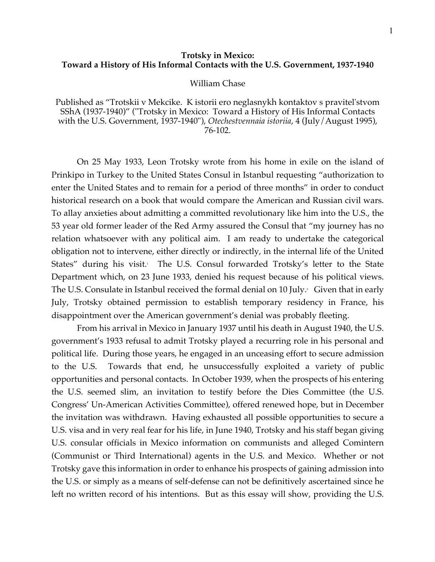## **Trotsky in Mexico: Toward a History of His Informal Contacts with the U.S. Government, 1937-1940**

## William Chase

Published as "Trotskii v Mekcike. K istorii ero neglasnykh kontaktov s pravitel'stvom SShA (1937-1940)" ("Trotsky in Mexico: Toward a History of His Informal Contacts with the U.S. Government, 1937-1940"), *Otechestvennaia istoriia*, 4 (July/August 1995), 76-102.

On 25 May 1933, Leon Trotsky wrote from his home in exile on the island of Prinkipo in Turkey to the United States Consul in Istanbul requesting "authorization to enter the United States and to remain for a period of three months" in order to conduct historical research on a book that would compare the American and Russian civil wars. To allay anxieties about admitting a committed revolutionary like him into the U.S., the 53 year old former leader of the Red Army assured the Consul that "my journey has no relation whatsoever with any political aim. I am ready to undertake the categorical obligation not to intervene, either directly or indirectly, in the internal life of the United States" during his visit. The U.S. Consul forwarded Trotsky's letter to the State Department which, on 23 June 1933, denied his request because of his political views. The U.S. Consulate in Istanbul received the formal denial on 10 July. $^{\circ} \,$  Given that in early  $^{\circ}$ July, Trotsky obtained permission to establish temporary residency in France, his disappointment over the American government's denial was probably fleeting.

From his arrival in Mexico in January 1937 until his death in August 1940, the U.S. government's 1933 refusal to admit Trotsky played a recurring role in his personal and political life. During those years, he engaged in an unceasing effort to secure admission to the U.S. Towards that end, he unsuccessfully exploited a variety of public opportunities and personal contacts. In October 1939, when the prospects of his entering the U.S. seemed slim, an invitation to testify before the Dies Committee (the U.S. Congress' Un-American Activities Committee), offered renewed hope, but in December the invitation was withdrawn. Having exhausted all possible opportunities to secure a U.S. visa and in very real fear for his life, in June 1940, Trotsky and his staff began giving U.S. consular officials in Mexico information on communists and alleged Comintern (Communist or Third International) agents in the U.S. and Mexico. Whether or not Trotsky gave this information in order to enhance his prospects of gaining admission into the U.S. or simply as a means of self-defense can not be definitively ascertained since he left no written record of his intentions. But as this essay will show, providing the U.S.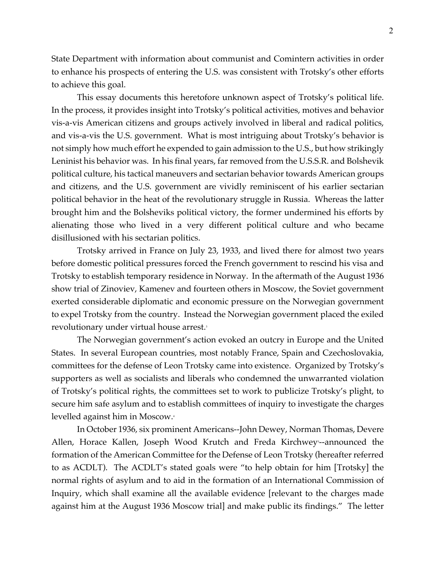State Department with information about communist and Comintern activities in order to enhance his prospects of entering the U.S. was consistent with Trotsky's other efforts to achieve this goal.

This essay documents this heretofore unknown aspect of Trotsky's political life. In the process, it provides insight into Trotsky's political activities, motives and behavior vis-a-vis American citizens and groups actively involved in liberal and radical politics, and vis-a-vis the U.S. government. What is most intriguing about Trotsky's behavior is not simply how much effort he expended to gain admission to the U.S., but how strikingly Leninist his behavior was. In his final years, far removed from the U.S.S.R. and Bolshevik political culture, his tactical maneuvers and sectarian behavior towards American groups and citizens, and the U.S. government are vividly reminiscent of his earlier sectarian political behavior in the heat of the revolutionary struggle in Russia. Whereas the latter brought him and the Bolsheviks political victory, the former undermined his efforts by alienating those who lived in a very different political culture and who became disillusioned with his sectarian politics.

Trotsky arrived in France on July 23, 1933, and lived there for almost two years before domestic political pressures forced the French government to rescind his visa and Trotsky to establish temporary residence in Norway. In the aftermath of the August 1936 show trial of Zinoviev, Kamenev and fourteen others in Moscow, the Soviet government exerted considerable diplomatic and economic pressure on the Norwegian government to expel Trotsky from the country. Instead the Norwegian government placed the exiled revolutionary under virtual house arrest.<sup>3</sup>

The Norwegian government's action evoked an outcry in Europe and the United States. In several European countries, most notably France, Spain and Czechoslovakia, committees for the defense of Leon Trotsky came into existence. Organized by Trotsky's supporters as well as socialists and liberals who condemned the unwarranted violation of Trotsky's political rights, the committees set to work to publicize Trotsky's plight, to secure him safe asylum and to establish committees of inquiry to investigate the charges levelled against him in Moscow.<sup>4</sup>

In October 1936, six prominent Americans--John Dewey, Norman Thomas, Devere Allen, Horace Kallen, Joseph Wood Krutch and Freda Kirchweys--announced the formation of the American Committee for the Defense of Leon Trotsky (hereafter referred to as ACDLT). The ACDLT's stated goals were "to help obtain for him [Trotsky] the normal rights of asylum and to aid in the formation of an International Commission of Inquiry, which shall examine all the available evidence [relevant to the charges made against him at the August 1936 Moscow trial] and make public its findings." The letter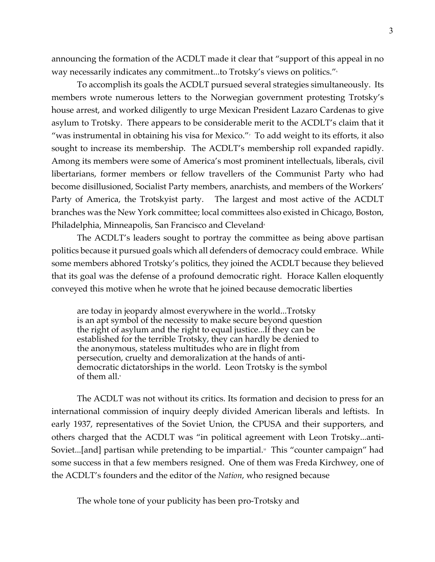announcing the formation of the ACDLT made it clear that "support of this appeal in no way necessarily indicates any commitment...to Trotsky's views on politics."<sup>6</sup>

To accomplish its goals the ACDLT pursued several strategies simultaneously. Its members wrote numerous letters to the Norwegian government protesting Trotsky's house arrest, and worked diligently to urge Mexican President Lazaro Cardenas to give asylum to Trotsky. There appears to be considerable merit to the ACDLT's claim that it "was instrumental in obtaining his visa for Mexico." $\overline{ }$  To add weight to its efforts, it also sought to increase its membership. The ACDLT's membership roll expanded rapidly. Among its members were some of America's most prominent intellectuals, liberals, civil libertarians, former members or fellow travellers of the Communist Party who had become disillusioned, Socialist Party members, anarchists, and members of the Workers' Party of America, the Trotskyist party. The largest and most active of the ACDLT branches was the New York committee; local committees also existed in Chicago, Boston, Philadelphia, Minneapolis, San Francisco and Cleveland<sup>®</sup>

The ACDLT's leaders sought to portray the committee as being above partisan politics because it pursued goals which all defenders of democracy could embrace. While some members abhored Trotsky's politics, they joined the ACDLT because they believed that its goal was the defense of a profound democratic right. Horace Kallen eloquently conveyed this motive when he wrote that he joined because democratic liberties

are today in jeopardy almost everywhere in the world...Trotsky is an apt symbol of the necessity to make secure beyond question the right of asylum and the right to equal justice...If they can be established for the terrible Trotsky, they can hardly be denied to the anonymous, stateless multitudes who are in flight from persecution, cruelty and demoralization at the hands of antidemocratic dictatorships in the world. Leon Trotsky is the symbol of them all.<sup>9</sup>

The ACDLT was not without its critics. Its formation and decision to press for an international commission of inquiry deeply divided American liberals and leftists. In early 1937, representatives of the Soviet Union, the CPUSA and their supporters, and others charged that the ACDLT was "in political agreement with Leon Trotsky...anti-Soviet...[and] partisan while pretending to be impartial.<sup>®</sup> This "counter campaign" had some success in that a few members resigned. One of them was Freda Kirchwey, one of the ACDLT's founders and the editor of the *Nation*, who resigned because

The whole tone of your publicity has been pro-Trotsky and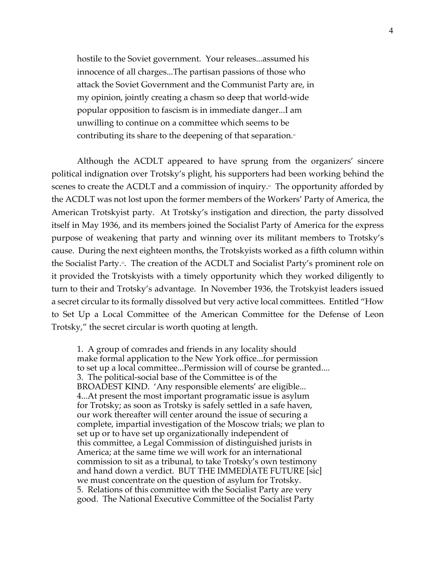hostile to the Soviet government. Your releases...assumed his innocence of all charges...The partisan passions of those who attack the Soviet Government and the Communist Party are, in my opinion, jointly creating a chasm so deep that world-wide popular opposition to fascism is in immediate danger...I am unwilling to continue on a committee which seems to be contributing its share to the deepening of that separation.<sup>11</sup>

Although the ACDLT appeared to have sprung from the organizers' sincere political indignation over Trotsky's plight, his supporters had been working behind the scenes to create the ACDLT and a commission of inquiry.<sup> $\text{P}$ </sup> The opportunity afforded by the ACDLT was not lost upon the former members of the Workers' Party of America, the American Trotskyist party. At Trotsky's instigation and direction, the party dissolved itself in May 1936, and its members joined the Socialist Party of America for the express purpose of weakening that party and winning over its militant members to Trotsky's cause. During the next eighteen months, the Trotskyists worked as a fifth column within the Socialist Party.13. The creation of the ACDLT and Socialist Party's prominent role on it provided the Trotskyists with a timely opportunity which they worked diligently to turn to their and Trotsky's advantage. In November 1936, the Trotskyist leaders issued a secret circular to its formally dissolved but very active local committees. Entitled "How to Set Up a Local Committee of the American Committee for the Defense of Leon Trotsky," the secret circular is worth quoting at length.

1. A group of comrades and friends in any locality should make formal application to the New York office...for permission to set up a local committee...Permission will of course be granted.... 3. The political-social base of the Committee is of the BROADEST KIND. 'Any responsible elements' are eligible... 4...At present the most important programatic issue is asylum for Trotsky; as soon as Trotsky is safely settled in a safe haven, our work thereafter will center around the issue of securing a complete, impartial investigation of the Moscow trials; we plan to set up or to have set up organizationally independent of this committee, a Legal Commission of distinguished jurists in America; at the same time we will work for an international commission to sit as a tribunal, to take Trotsky's own testimony and hand down a verdict. BUT THE IMMEDIATE FUTURE [sic] we must concentrate on the question of asylum for Trotsky. 5. Relations of this committee with the Socialist Party are very good. The National Executive Committee of the Socialist Party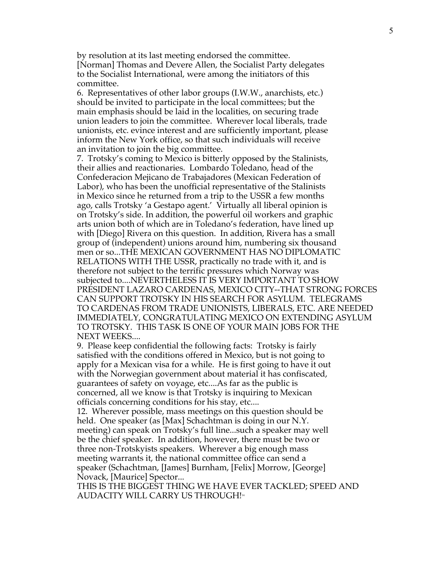by resolution at its last meeting endorsed the committee. [Norman] Thomas and Devere Allen, the Socialist Party delegates to the Socialist International, were among the initiators of this committee.

6. Representatives of other labor groups (I.W.W., anarchists, etc.) should be invited to participate in the local committees; but the main emphasis should be laid in the localities, on securing trade union leaders to join the committee. Wherever local liberals, trade unionists, etc. evince interest and are sufficiently important, please inform the New York office, so that such individuals will receive an invitation to join the big committee.

7. Trotsky's coming to Mexico is bitterly opposed by the Stalinists, their allies and reactionaries. Lombardo Toledano, head of the Confederacion Mejicano de Trabajadores (Mexican Federation of Labor), who has been the unofficial representative of the Stalinists in Mexico since he returned from a trip to the USSR a few months ago, calls Trotsky 'a Gestapo agent.' Virtually all liberal opinion is on Trotsky's side. In addition, the powerful oil workers and graphic arts union both of which are in Toledano's federation, have lined up with [Diego] Rivera on this question. In addition, Rivera has a small group of (independent) unions around him, numbering six thousand men or so...THE MEXICAN GOVERNMENT HAS NO DIPLOMATIC RELATIONS WITH THE USSR, practically no trade with it, and is therefore not subject to the terrific pressures which Norway was subjected to....NEVERTHELESS IT IS VERY IMPORTANT TO SHOW PRESIDENT LAZARO CARDENAS, MEXICO CITY--THAT STRONG FORCES CAN SUPPORT TROTSKY IN HIS SEARCH FOR ASYLUM. TELEGRAMS TO CARDENAS FROM TRADE UNIONISTS, LIBERALS, ETC. ARE NEEDED IMMEDIATELY, CONGRATULATING MEXICO ON EXTENDING ASYLUM TO TROTSKY. THIS TASK IS ONE OF YOUR MAIN JOBS FOR THE NEXT WEEKS....

9. Please keep confidential the following facts: Trotsky is fairly satisfied with the conditions offered in Mexico, but is not going to apply for a Mexican visa for a while. He is first going to have it out with the Norwegian government about material it has confiscated, guarantees of safety on voyage, etc....As far as the public is concerned, all we know is that Trotsky is inquiring to Mexican officials concerning conditions for his stay, etc....

12. Wherever possible, mass meetings on this question should be held. One speaker (as [Max] Schachtman is doing in our N.Y. meeting) can speak on Trotsky's full line...such a speaker may well be the chief speaker. In addition, however, there must be two or three non-Trotskyists speakers. Wherever a big enough mass meeting warrants it, the national committee office can send a speaker (Schachtman, [James] Burnham, [Felix] Morrow, [George] Novack, [Maurice] Spector...

THIS IS THE BIGGEST THING WE HAVE EVER TACKLED; SPEED AND AUDACITY WILL CARRY US THROUGH!<sup>14</sup>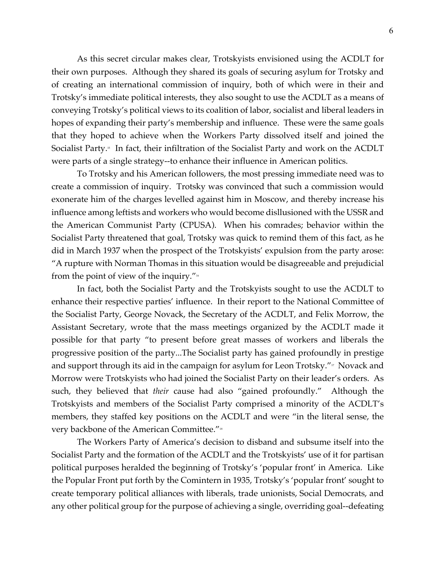As this secret circular makes clear, Trotskyists envisioned using the ACDLT for their own purposes. Although they shared its goals of securing asylum for Trotsky and of creating an international commission of inquiry, both of which were in their and Trotsky's immediate political interests, they also sought to use the ACDLT as a means of conveying Trotsky's political views to its coalition of labor, socialist and liberal leaders in hopes of expanding their party's membership and influence. These were the same goals that they hoped to achieve when the Workers Party dissolved itself and joined the Socialist Party.<sup>5</sup> In fact, their infiltration of the Socialist Party and work on the ACDLT were parts of a single strategy--to enhance their influence in American politics.

To Trotsky and his American followers, the most pressing immediate need was to create a commission of inquiry. Trotsky was convinced that such a commission would exonerate him of the charges levelled against him in Moscow, and thereby increase his influence among leftists and workers who would become disllusioned with the USSR and the American Communist Party (CPUSA). When his comrades; behavior within the Socialist Party threatened that goal, Trotsky was quick to remind them of this fact, as he did in March 1937 when the prospect of the Trotskyists' expulsion from the party arose: "A rupture with Norman Thomas in this situation would be disagreeable and prejudicial from the point of view of the inquiry."16

In fact, both the Socialist Party and the Trotskyists sought to use the ACDLT to enhance their respective parties' influence. In their report to the National Committee of the Socialist Party, George Novack, the Secretary of the ACDLT, and Felix Morrow, the Assistant Secretary, wrote that the mass meetings organized by the ACDLT made it possible for that party "to present before great masses of workers and liberals the progressive position of the party...The Socialist party has gained profoundly in prestige and support through its aid in the campaign for asylum for Leon Trotsky." $\nu$  Novack and Morrow were Trotskyists who had joined the Socialist Party on their leader's orders. As such, they believed that *their* cause had also "gained profoundly." Although the Trotskyists and members of the Socialist Party comprised a minority of the ACDLT's members, they staffed key positions on the ACDLT and were "in the literal sense, the very backbone of the American Committee."<sup>18</sup>

The Workers Party of America's decision to disband and subsume itself into the Socialist Party and the formation of the ACDLT and the Trotskyists' use of it for partisan political purposes heralded the beginning of Trotsky's 'popular front' in America. Like the Popular Front put forth by the Comintern in 1935, Trotsky's 'popular front' sought to create temporary political alliances with liberals, trade unionists, Social Democrats, and any other political group for the purpose of achieving a single, overriding goal--defeating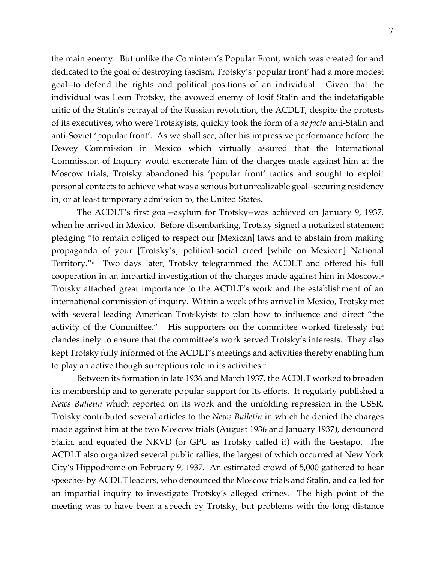the main enemy. But unlike the Comintern's Popular Front, which was created for and dedicated to the goal of destroying fascism, Trotsky's 'popular front' had a more modest goal--to defend the rights and political positions of an individual. Given that the individual was Leon Trotsky, the avowed enemy of Iosif Stalin and the indefatigable critic of the Stalin's betrayal of the Russian revolution, the ACDLT, despite the protests of its executives, who were Trotskyists, quickly took the form of a *de facto* anti-Stalin and anti-Soviet 'popular front'. As we shall see, after his impressive performance before the Dewey Commission in Mexico which virtually assured that the International Commission of Inquiry would exonerate him of the charges made against him at the Moscow trials, Trotsky abandoned his 'popular front' tactics and sought to exploit personal contacts to achieve what was a serious but unrealizable goal--securing residency in, or at least temporary admission to, the United States.

The ACDLT's first goal--asylum for Trotsky--was achieved on January 9, 1937, when he arrived in Mexico. Before disembarking, Trotsky signed a notarized statement pledging "to remain obliged to respect our [Mexican] laws and to abstain from making propaganda of your [Trotsky's] political-social creed [while on Mexican] National Territory."<sup>9</sup> Two days later, Trotsky telegrammed the ACDLT and offered his full cooperation in an impartial investigation of the charges made against him in Moscow.<sup>30</sup> Trotsky attached great importance to the ACDLT's work and the establishment of an international commission of inquiry. Within a week of his arrival in Mexico, Trotsky met with several leading American Trotskyists to plan how to influence and direct "the activity of the Committee." $n$  His supporters on the committee worked tirelessly but clandestinely to ensure that the committee's work served Trotsky's interests. They also kept Trotsky fully informed of the ACDLT's meetings and activities thereby enabling him to play an active though surreptious role in its activities.<sup>22</sup>

Between its formation in late 1936 and March 1937, the ACDLT worked to broaden its membership and to generate popular support for its efforts. It regularly published a *News Bulletin* which reported on its work and the unfolding repression in the USSR. Trotsky contributed several articles to the *News Bulletin* in which he denied the charges made against him at the two Moscow trials (August 1936 and January 1937), denounced Stalin, and equated the NKVD (or GPU as Trotsky called it) with the Gestapo. The ACDLT also organized several public rallies, the largest of which occurred at New York City's Hippodrome on February 9, 1937. An estimated crowd of 5,000 gathered to hear speeches by ACDLT leaders, who denounced the Moscow trials and Stalin, and called for an impartial inquiry to investigate Trotsky's alleged crimes. The high point of the meeting was to have been a speech by Trotsky, but problems with the long distance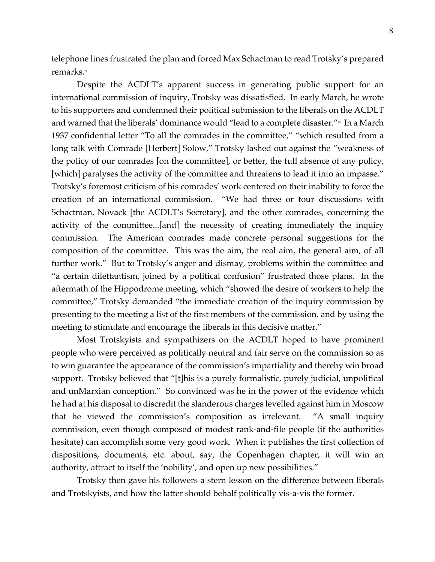telephone lines frustrated the plan and forced Max Schactman to read Trotsky's prepared remarks.<sup>23</sup>

Despite the ACDLT's apparent success in generating public support for an international commission of inquiry, Trotsky was dissatisfied. In early March, he wrote to his supporters and condemned their political submission to the liberals on the ACDLT and warned that the liberals' dominance would "lead to a complete disaster." $\frac{1}{4}$  In a March 1937 confidential letter "To all the comrades in the committee," "which resulted from a long talk with Comrade [Herbert] Solow," Trotsky lashed out against the "weakness of the policy of our comrades [on the committee], or better, the full absence of any policy, [which] paralyses the activity of the committee and threatens to lead it into an impasse." Trotsky's foremost criticism of his comrades' work centered on their inability to force the creation of an international commission. "We had three or four discussions with Schactman, Novack [the ACDLT's Secretary], and the other comrades, concerning the activity of the committee...[and] the necessity of creating immediately the inquiry commission. The American comrades made concrete personal suggestions for the composition of the committee. This was the aim, the real aim, the general aim, of all further work." But to Trotsky's anger and dismay, problems within the committee and "a certain dilettantism, joined by a political confusion" frustrated those plans. In the aftermath of the Hippodrome meeting, which "showed the desire of workers to help the committee," Trotsky demanded "the immediate creation of the inquiry commission by presenting to the meeting a list of the first members of the commission, and by using the meeting to stimulate and encourage the liberals in this decisive matter."

Most Trotskyists and sympathizers on the ACDLT hoped to have prominent people who were perceived as politically neutral and fair serve on the commission so as to win guarantee the appearance of the commission's impartiality and thereby win broad support. Trotsky believed that "[t]his is a purely formalistic, purely judicial, unpolitical and unMarxian conception." So convinced was he in the power of the evidence which he had at his disposal to discredit the slanderous charges levelled against him in Moscow that he viewed the commission's composition as irrelevant. "A small inquiry commission, even though composed of modest rank-and-file people (if the authorities hesitate) can accomplish some very good work. When it publishes the first collection of dispositions, documents, etc. about, say, the Copenhagen chapter, it will win an authority, attract to itself the 'nobility', and open up new possibilities."

Trotsky then gave his followers a stern lesson on the difference between liberals and Trotskyists, and how the latter should behalf politically vis-a-vis the former.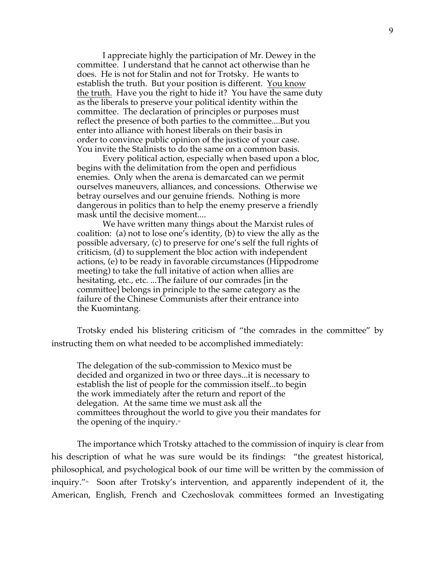I appreciate highly the participation of Mr. Dewey in the committee. I understand that he cannot act otherwise than he does. He is not for Stalin and not for Trotsky. He wants to establish the truth. But your position is different. You know the truth. Have you the right to hide it? You have the same duty as the liberals to preserve your political identity within the committee. The declaration of principles or purposes must reflect the presence of both parties to the committee....But you enter into alliance with honest liberals on their basis in order to convince public opinion of the justice of your case. You invite the Stalinists to do the same on a common basis.

Every political action, especially when based upon a bloc, begins with the delimitation from the open and perfidious enemies. Only when the arena is demarcated can we permit ourselves maneuvers, alliances, and concessions. Otherwise we betray ourselves and our genuine friends. Nothing is more dangerous in politics than to help the enemy preserve a friendly mask until the decisive moment....

We have written many things about the Marxist rules of coalition: (a) not to lose one's identity, (b) to view the ally as the possible adversary, (c) to preserve for one's self the full rights of criticism, (d) to supplement the bloc action with independent actions, (e) to be ready in favorable circumstances (Hippodrome meeting) to take the full initative of action when allies are hesitating, etc., etc. ...The failure of our comrades [in the committee] belongs in principle to the same category as the failure of the Chinese Communists after their entrance into the Kuomintang.

Trotsky ended his blistering criticism of "the comrades in the committee" by instructing them on what needed to be accomplished immediately:

The delegation of the sub-commission to Mexico must be decided and organized in two or three days...it is necessary to establish the list of people for the commission itself...to begin the work immediately after the return and report of the delegation. At the same time we must ask all the committees throughout the world to give you their mandates for the opening of the inquiry. $\mathbb{Z}^5$ 

The importance which Trotsky attached to the commission of inquiry is clear from his description of what he was sure would be its findings: "the greatest historical, philosophical, and psychological book of our time will be written by the commission of inquiry."<sup>26</sup> Soon after Trotsky's intervention, and apparently independent of it, the American, English, French and Czechoslovak committees formed an Investigating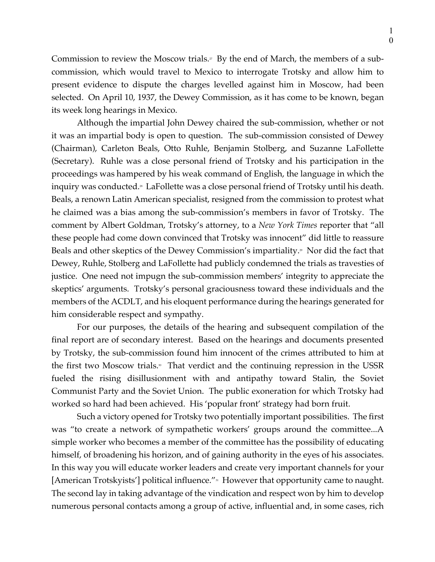Commission to review the Moscow trials.<sup> $x$ </sup> By the end of March, the members of a subcommission, which would travel to Mexico to interrogate Trotsky and allow him to present evidence to dispute the charges levelled against him in Moscow, had been selected. On April 10, 1937, the Dewey Commission, as it has come to be known, began its week long hearings in Mexico.

Although the impartial John Dewey chaired the sub-commission, whether or not it was an impartial body is open to question. The sub-commission consisted of Dewey (Chairman), Carleton Beals, Otto Ruhle, Benjamin Stolberg, and Suzanne LaFollette (Secretary). Ruhle was a close personal friend of Trotsky and his participation in the proceedings was hampered by his weak command of English, the language in which the inquiry was conducted.<sup>36</sup> LaFollette was a close personal friend of Trotsky until his death. Beals, a renown Latin American specialist, resigned from the commission to protest what he claimed was a bias among the sub-commission's members in favor of Trotsky. The comment by Albert Goldman, Trotsky's attorney, to a *New York Times* reporter that "all these people had come down convinced that Trotsky was innocent" did little to reassure Beals and other skeptics of the Dewey Commission's impartiality.<sup>99</sup> Nor did the fact that Dewey, Ruhle, Stolberg and LaFollette had publicly condemned the trials as travesties of justice. One need not impugn the sub-commission members' integrity to appreciate the skeptics' arguments. Trotsky's personal graciousness toward these individuals and the members of the ACDLT, and his eloquent performance during the hearings generated for him considerable respect and sympathy.

For our purposes, the details of the hearing and subsequent compilation of the final report are of secondary interest. Based on the hearings and documents presented by Trotsky, the sub-commission found him innocent of the crimes attributed to him at the first two Moscow trials.<sup>30</sup> That verdict and the continuing repression in the USSR fueled the rising disillusionment with and antipathy toward Stalin, the Soviet Communist Party and the Soviet Union. The public exoneration for which Trotsky had worked so hard had been achieved. His 'popular front' strategy had born fruit.

Such a victory opened for Trotsky two potentially important possibilities. The first was "to create a network of sympathetic workers' groups around the committee...A simple worker who becomes a member of the committee has the possibility of educating himself, of broadening his horizon, and of gaining authority in the eyes of his associates. In this way you will educate worker leaders and create very important channels for your [American Trotskyists'] political influence."<sup>31</sup> However that opportunity came to naught. The second lay in taking advantage of the vindication and respect won by him to develop numerous personal contacts among a group of active, influential and, in some cases, rich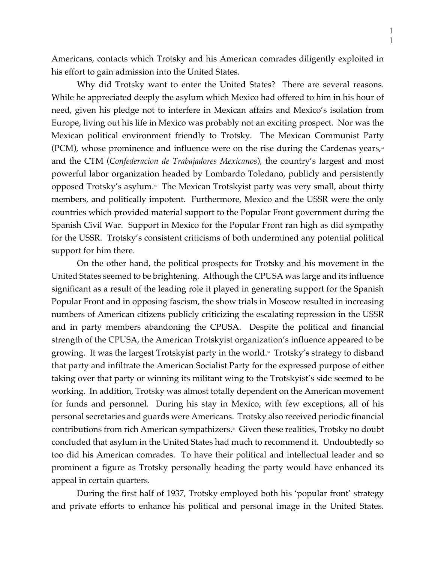Americans, contacts which Trotsky and his American comrades diligently exploited in his effort to gain admission into the United States.

Why did Trotsky want to enter the United States? There are several reasons. While he appreciated deeply the asylum which Mexico had offered to him in his hour of need, given his pledge not to interfere in Mexican affairs and Mexico's isolation from Europe, living out his life in Mexico was probably not an exciting prospect. Nor was the Mexican political environment friendly to Trotsky. The Mexican Communist Party (PCM), whose prominence and influence were on the rise during the Cardenas years, $x$ and the CTM (*Confederacion de Trabajadores Mexicanos*), the country's largest and most powerful labor organization headed by Lombardo Toledano, publicly and persistently opposed Trotsky's asylum.<sup>33</sup> The Mexican Trotskyist party was very small, about thirty members, and politically impotent. Furthermore, Mexico and the USSR were the only countries which provided material support to the Popular Front government during the Spanish Civil War. Support in Mexico for the Popular Front ran high as did sympathy for the USSR. Trotsky's consistent criticisms of both undermined any potential political support for him there.

On the other hand, the political prospects for Trotsky and his movement in the United States seemed to be brightening. Although the CPUSA was large and its influence significant as a result of the leading role it played in generating support for the Spanish Popular Front and in opposing fascism, the show trials in Moscow resulted in increasing numbers of American citizens publicly criticizing the escalating repression in the USSR and in party members abandoning the CPUSA. Despite the political and financial strength of the CPUSA, the American Trotskyist organization's influence appeared to be growing. It was the largest Trotskyist party in the world.<sup>44</sup> Trotsky's strategy to disband that party and infiltrate the American Socialist Party for the expressed purpose of either taking over that party or winning its militant wing to the Trotskyist's side seemed to be working. In addition, Trotsky was almost totally dependent on the American movement for funds and personnel. During his stay in Mexico, with few exceptions, all of his personal secretaries and guards were Americans. Trotsky also received periodic financial contributions from rich American sympathizers.<sup>35</sup> Given these realities, Trotsky no doubt concluded that asylum in the United States had much to recommend it. Undoubtedly so too did his American comrades. To have their political and intellectual leader and so prominent a figure as Trotsky personally heading the party would have enhanced its appeal in certain quarters.

During the first half of 1937, Trotsky employed both his 'popular front' strategy and private efforts to enhance his political and personal image in the United States.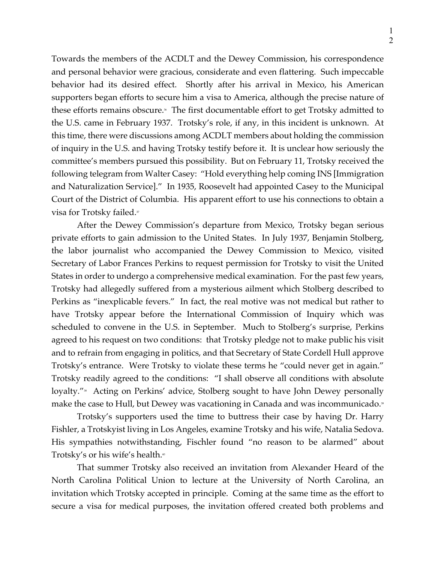Towards the members of the ACDLT and the Dewey Commission, his correspondence and personal behavior were gracious, considerate and even flattering. Such impeccable behavior had its desired effect. Shortly after his arrival in Mexico, his American supporters began efforts to secure him a visa to America, although the precise nature of these efforts remains obscure.<sup>\*</sup> The first documentable effort to get Trotsky admitted to the U.S. came in February 1937. Trotsky's role, if any, in this incident is unknown. At this time, there were discussions among ACDLT members about holding the commission of inquiry in the U.S. and having Trotsky testify before it. It is unclear how seriously the committee's members pursued this possibility. But on February 11, Trotsky received the following telegram from Walter Casey: "Hold everything help coming INS [Immigration and Naturalization Service]." In 1935, Roosevelt had appointed Casey to the Municipal Court of the District of Columbia. His apparent effort to use his connections to obtain a visa for Trotsky failed.<sup>37</sup>

After the Dewey Commission's departure from Mexico, Trotsky began serious private efforts to gain admission to the United States. In July 1937, Benjamin Stolberg, the labor journalist who accompanied the Dewey Commission to Mexico, visited Secretary of Labor Frances Perkins to request permission for Trotsky to visit the United States in order to undergo a comprehensive medical examination. For the past few years, Trotsky had allegedly suffered from a mysterious ailment which Stolberg described to Perkins as "inexplicable fevers." In fact, the real motive was not medical but rather to have Trotsky appear before the International Commission of Inquiry which was scheduled to convene in the U.S. in September. Much to Stolberg's surprise, Perkins agreed to his request on two conditions: that Trotsky pledge not to make public his visit and to refrain from engaging in politics, and that Secretary of State Cordell Hull approve Trotsky's entrance. Were Trotsky to violate these terms he "could never get in again." Trotsky readily agreed to the conditions: "I shall observe all conditions with absolute loyalty."<sup>38</sup> Acting on Perkins' advice, Stolberg sought to have John Dewey personally make the case to Hull, but Dewey was vacationing in Canada and was incommunicado.<sup>39</sup>

Trotsky's supporters used the time to buttress their case by having Dr. Harry Fishler, a Trotskyist living in Los Angeles, examine Trotsky and his wife, Natalia Sedova. His sympathies notwithstanding, Fischler found "no reason to be alarmed" about Trotsky's or his wife's health.<sup>40</sup>

That summer Trotsky also received an invitation from Alexander Heard of the North Carolina Political Union to lecture at the University of North Carolina, an invitation which Trotsky accepted in principle. Coming at the same time as the effort to secure a visa for medical purposes, the invitation offered created both problems and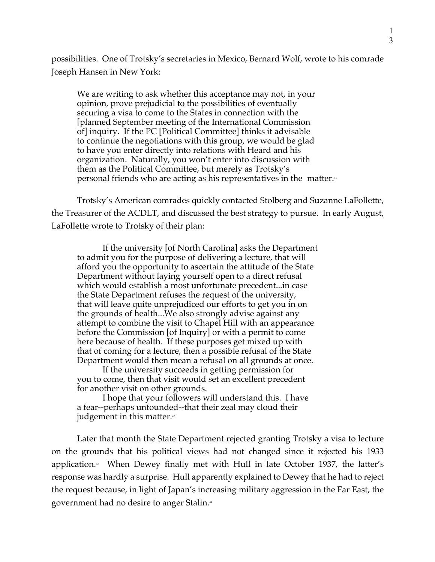possibilities. One of Trotsky's secretaries in Mexico, Bernard Wolf, wrote to his comrade Joseph Hansen in New York:

We are writing to ask whether this acceptance may not, in your opinion, prove prejudicial to the possibilities of eventually securing a visa to come to the States in connection with the [planned September meeting of the International Commission of] inquiry. If the PC [Political Committee] thinks it advisable to continue the negotiations with this group, we would be glad to have you enter directly into relations with Heard and his organization. Naturally, you won't enter into discussion with them as the Political Committee, but merely as Trotsky's personal friends who are acting as his representatives in the matter.<sup>41</sup>

Trotsky's American comrades quickly contacted Stolberg and Suzanne LaFollette, the Treasurer of the ACDLT, and discussed the best strategy to pursue. In early August, LaFollette wrote to Trotsky of their plan:

If the university [of North Carolina] asks the Department to admit you for the purpose of delivering a lecture, that will afford you the opportunity to ascertain the attitude of the State Department without laying yourself open to a direct refusal which would establish a most unfortunate precedent...in case the State Department refuses the request of the university, that will leave quite unprejudiced our efforts to get you in on the grounds of health...We also strongly advise against any attempt to combine the visit to Chapel Hill with an appearance before the Commission [of Inquiry] or with a permit to come here because of health. If these purposes get mixed up with that of coming for a lecture, then a possible refusal of the State Department would then mean a refusal on all grounds at once.

If the university succeeds in getting permission for you to come, then that visit would set an excellent precedent for another visit on other grounds.

I hope that your followers will understand this. I have a fear--perhaps unfounded--that their zeal may cloud their judgement in this matter. $\alpha$ 

Later that month the State Department rejected granting Trotsky a visa to lecture on the grounds that his political views had not changed since it rejected his 1933 application.<sup>4</sup> When Dewey finally met with Hull in late October 1937, the latter's response was hardly a surprise. Hull apparently explained to Dewey that he had to reject the request because, in light of Japan's increasing military aggression in the Far East, the government had no desire to anger Stalin.<sup>44</sup>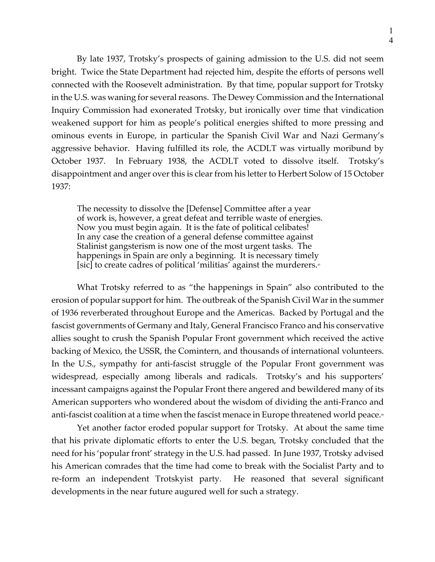1 4

By late 1937, Trotsky's prospects of gaining admission to the U.S. did not seem bright. Twice the State Department had rejected him, despite the efforts of persons well connected with the Roosevelt administration. By that time, popular support for Trotsky in the U.S. was waning for several reasons. The Dewey Commission and the International Inquiry Commission had exonerated Trotsky, but ironically over time that vindication weakened support for him as people's political energies shifted to more pressing and ominous events in Europe, in particular the Spanish Civil War and Nazi Germany's aggressive behavior. Having fulfilled its role, the ACDLT was virtually moribund by October 1937. In February 1938, the ACDLT voted to dissolve itself. Trotsky's disappointment and anger over this is clear from his letter to Herbert Solow of 15 October 1937:

The necessity to dissolve the [Defense] Committee after a year of work is, however, a great defeat and terrible waste of energies. Now you must begin again. It is the fate of political celibates! In any case the creation of a general defense committee against Stalinist gangsterism is now one of the most urgent tasks. The happenings in Spain are only a beginning. It is necessary timely [sic] to create cadres of political 'militias' against the murderers.<sup>45</sup>

What Trotsky referred to as "the happenings in Spain" also contributed to the erosion of popular support for him. The outbreak of the Spanish Civil War in the summer of 1936 reverberated throughout Europe and the Americas. Backed by Portugal and the fascist governments of Germany and Italy, General Francisco Franco and his conservative allies sought to crush the Spanish Popular Front government which received the active backing of Mexico, the USSR, the Comintern, and thousands of international volunteers. In the U.S., sympathy for anti-fascist struggle of the Popular Front government was widespread, especially among liberals and radicals. Trotsky's and his supporters' incessant campaigns against the Popular Front there angered and bewildered many of its American supporters who wondered about the wisdom of dividing the anti-Franco and anti-fascist coalition at a time when the fascist menace in Europe threatened world peace.<sup>46</sup>

Yet another factor eroded popular support for Trotsky. At about the same time that his private diplomatic efforts to enter the U.S. began, Trotsky concluded that the need for his 'popular front' strategy in the U.S. had passed. In June 1937, Trotsky advised his American comrades that the time had come to break with the Socialist Party and to re-form an independent Trotskyist party. He reasoned that several significant developments in the near future augured well for such a strategy.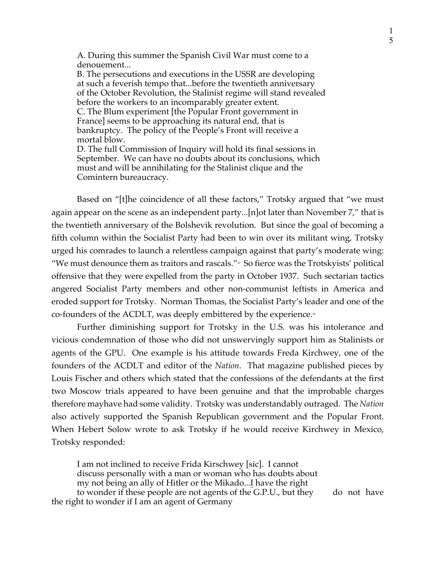A. During this summer the Spanish Civil War must come to a denouement...

B. The persecutions and executions in the USSR are developing at such a feverish tempo that...before the twentieth anniversary of the October Revolution, the Stalinist regime will stand revealed before the workers to an incomparably greater extent. C. The Blum experiment [the Popular Front government in France] seems to be approaching its natural end, that is bankruptcy. The policy of the People's Front will receive a mortal blow. D. The full Commission of Inquiry will hold its final sessions in September. We can have no doubts about its conclusions, which must and will be annihilating for the Stalinist clique and the

Comintern bureaucracy.

Based on "[t]he coincidence of all these factors," Trotsky argued that "we must again appear on the scene as an independent party...[n]ot later than November 7," that is the twentieth anniversary of the Bolshevik revolution. But since the goal of becoming a fifth column within the Socialist Party had been to win over its militant wing, Trotsky urged his comrades to launch a relentless campaign against that party's moderate wing: "We must denounce them as traitors and rascals." $\sigma$  So fierce was the Trotskyists' political offensive that they were expelled from the party in October 1937. Such sectarian tactics angered Socialist Party members and other non-communist leftists in America and eroded support for Trotsky. Norman Thomas, the Socialist Party's leader and one of the co-founders of the ACDLT, was deeply embittered by the experience.<sup>48</sup>

Further diminishing support for Trotsky in the U.S. was his intolerance and vicious condemnation of those who did not unswervingly support him as Stalinists or agents of the GPU. One example is his attitude towards Freda Kirchwey, one of the founders of the ACDLT and editor of the *Nation*. That magazine published pieces by Louis Fischer and others which stated that the confessions of the defendants at the first two Moscow trials appeared to have been genuine and that the improbable charges therefore mayhave had some validity. Trotsky was understandably outraged. The *Nation* also actively supported the Spanish Republican government and the Popular Front. When Hebert Solow wrote to ask Trotsky if he would receive Kirchwey in Mexico, Trotsky responded:

I am not inclined to receive Frida Kirschwey [sic]. I cannot discuss personally with a man or woman who has doubts about my not being an ally of Hitler or the Mikado...I have the right to wonder if these people are not agents of the G.P.U., but they do not have

the right to wonder if I am an agent of Germany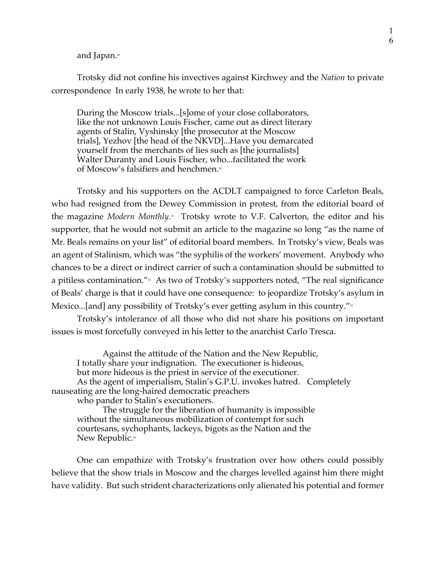and Japan.49

Trotsky did not confine his invectives against Kirchwey and the *Nation* to private correspondence In early 1938, he wrote to her that:

During the Moscow trials...[s]ome of your close collaborators, like the not unknown Louis Fischer, came out as direct literary agents of Stalin, Vyshinsky [the prosecutor at the Moscow trials], Yezhov [the head of the NKVD]...Have you demarcated yourself from the merchants of lies such as [the journalists] Walter Duranty and Louis Fischer, who...facilitated the work of Moscow's falsifiers and henchmen.<sup>50</sup>

Trotsky and his supporters on the ACDLT campaigned to force Carleton Beals, who had resigned from the Dewey Commission in protest, from the editorial board of the magazine *Modern Monthly*.<sup>51</sup> Trotsky wrote to V.F. Calverton, the editor and his supporter, that he would not submit an article to the magazine so long "as the name of Mr. Beals remains on your list" of editorial board members. In Trotsky's view, Beals was an agent of Stalinism, which was "the syphilis of the workers' movement. Anybody who chances to be a direct or indirect carrier of such a contamination should be submitted to a pitiless contamination."<sup>52</sup> As two of Trotsky's supporters noted, "The real significance of Beals' charge is that it could have one consequence: to jeopardize Trotsky's asylum in Mexico...[and] any possibility of Trotsky's ever getting asylum in this country."<sup>53</sup>

Trotsky's intolerance of all those who did not share his positions on important issues is most forcefully conveyed in his letter to the anarchist Carlo Tresca.

Against the attitude of the Nation and the New Republic, I totally share your indignation. The executioner is hideous, but more hideous is the priest in service of the executioner. As the agent of imperialism, Stalin's G.P.U. invokes hatred. Completely nauseating are the long-haired democratic preachers who pander to Stalin's executioners.

The struggle for the liberation of humanity is impossible without the simultaneous mobilization of contempt for such courtesans, sychophants, lackeys, bigots as the Nation and the New Republic.<sup>54</sup>

One can empathize with Trotsky's frustration over how others could possibly believe that the show trials in Moscow and the charges levelled against him there might have validity. But such strident characterizations only alienated his potential and former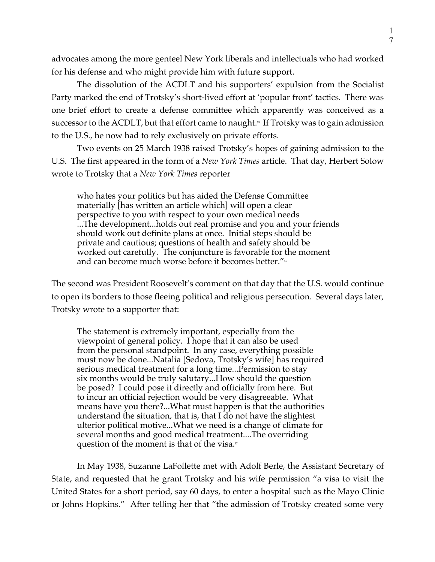advocates among the more genteel New York liberals and intellectuals who had worked for his defense and who might provide him with future support.

The dissolution of the ACDLT and his supporters' expulsion from the Socialist Party marked the end of Trotsky's short-lived effort at 'popular front' tactics. There was one brief effort to create a defense committee which apparently was conceived as a successor to the ACDLT, but that effort came to naught.<sup> $s$ </sup> If Trotsky was to gain admission to the U.S., he now had to rely exclusively on private efforts.

Two events on 25 March 1938 raised Trotsky's hopes of gaining admission to the U.S. The first appeared in the form of a *New York Times* article. That day, Herbert Solow wrote to Trotsky that a *New York Times* reporter

who hates your politics but has aided the Defense Committee materially [has written an article which] will open a clear perspective to you with respect to your own medical needs ...The development...holds out real promise and you and your friends should work out definite plans at once. Initial steps should be private and cautious; questions of health and safety should be worked out carefully. The conjuncture is favorable for the moment and can become much worse before it becomes better."<sup>56</sup>

The second was President Roosevelt's comment on that day that the U.S. would continue to open its borders to those fleeing political and religious persecution. Several days later, Trotsky wrote to a supporter that:

The statement is extremely important, especially from the viewpoint of general policy. I hope that it can also be used from the personal standpoint. In any case, everything possible must now be done...Natalia [Sedova, Trotsky's wife] has required serious medical treatment for a long time...Permission to stay six months would be truly salutary...How should the question be posed? I could pose it directly and officially from here. But to incur an official rejection would be very disagreeable. What means have you there?...What must happen is that the authorities understand the situation, that is, that I do not have the slightest ulterior political motive...What we need is a change of climate for several months and good medical treatment....The overriding question of the moment is that of the visa. $\overline{5}$ 

In May 1938, Suzanne LaFollette met with Adolf Berle, the Assistant Secretary of State, and requested that he grant Trotsky and his wife permission "a visa to visit the United States for a short period, say 60 days, to enter a hospital such as the Mayo Clinic or Johns Hopkins." After telling her that "the admission of Trotsky created some very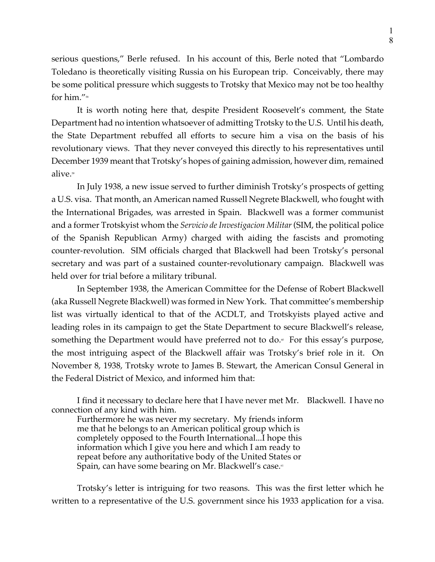serious questions," Berle refused. In his account of this, Berle noted that "Lombardo Toledano is theoretically visiting Russia on his European trip. Conceivably, there may be some political pressure which suggests to Trotsky that Mexico may not be too healthy for him."<sup>58</sup>

It is worth noting here that, despite President Roosevelt's comment, the State Department had no intention whatsoever of admitting Trotsky to the U.S. Until his death, the State Department rebuffed all efforts to secure him a visa on the basis of his revolutionary views. That they never conveyed this directly to his representatives until December 1939 meant that Trotsky's hopes of gaining admission, however dim, remained alive.<sup>59</sup>

In July 1938, a new issue served to further diminish Trotsky's prospects of getting a U.S. visa. That month, an American named Russell Negrete Blackwell, who fought with the International Brigades, was arrested in Spain. Blackwell was a former communist and a former Trotskyist whom the *Servicio de Investigacion Militar* (SIM, the political police of the Spanish Republican Army) charged with aiding the fascists and promoting counter-revolution. SIM officials charged that Blackwell had been Trotsky's personal secretary and was part of a sustained counter-revolutionary campaign. Blackwell was held over for trial before a military tribunal.

In September 1938, the American Committee for the Defense of Robert Blackwell (aka Russell Negrete Blackwell) was formed in New York. That committee's membership list was virtually identical to that of the ACDLT, and Trotskyists played active and leading roles in its campaign to get the State Department to secure Blackwell's release, something the Department would have preferred not to do.<sup>®</sup> For this essay's purpose, the most intriguing aspect of the Blackwell affair was Trotsky's brief role in it. On November 8, 1938, Trotsky wrote to James B. Stewart, the American Consul General in the Federal District of Mexico, and informed him that:

I find it necessary to declare here that I have never met Mr. Blackwell. I have no connection of any kind with him.

Furthermore he was never my secretary. My friends inform me that he belongs to an American political group which is completely opposed to the Fourth International...I hope this information which I give you here and which I am ready to repeat before any authoritative body of the United States or Spain, can have some bearing on Mr. Blackwell's case.<sup>61</sup>

Trotsky's letter is intriguing for two reasons. This was the first letter which he written to a representative of the U.S. government since his 1933 application for a visa.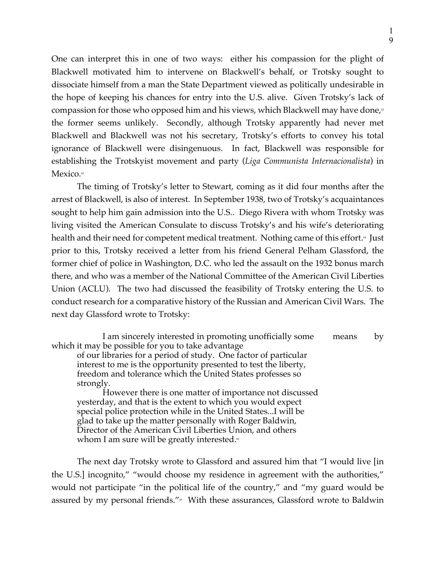One can interpret this in one of two ways: either his compassion for the plight of Blackwell motivated him to intervene on Blackwell's behalf, or Trotsky sought to dissociate himself from a man the State Department viewed as politically undesirable in the hope of keeping his chances for entry into the U.S. alive. Given Trotsky's lack of compassion for those who opposed him and his views, which Blackwell may have done, $\epsilon$ the former seems unlikely. Secondly, although Trotsky apparently had never met Blackwell and Blackwell was not his secretary, Trotsky's efforts to convey his total ignorance of Blackwell were disingenuous. In fact, Blackwell was responsible for establishing the Trotskyist movement and party (*Liga Communista Internacionalista*) in Mexico.<sup>63</sup>

The timing of Trotsky's letter to Stewart, coming as it did four months after the arrest of Blackwell, is also of interest. In September 1938, two of Trotsky's acquaintances sought to help him gain admission into the U.S.. Diego Rivera with whom Trotsky was living visited the American Consulate to discuss Trotsky's and his wife's deteriorating health and their need for competent medical treatment. Nothing came of this effort.<sup>44</sup> Just prior to this, Trotsky received a letter from his friend General Pelham Glassford, the former chief of police in Washington, D.C. who led the assault on the 1932 bonus march there, and who was a member of the National Committee of the American Civil Liberties Union (ACLU). The two had discussed the feasibility of Trotsky entering the U.S. to conduct research for a comparative history of the Russian and American Civil Wars. The next day Glassford wrote to Trotsky:

I am sincerely interested in promoting unofficially some means by which it may be possible for you to take advantage of our libraries for a period of study. One factor of particular interest to me is the opportunity presented to test the liberty, freedom and tolerance which the United States professes so strongly. However there is one matter of importance not discussed

yesterday, and that is the extent to which you would expect special police protection while in the United States...I will be glad to take up the matter personally with Roger Baldwin, Director of the American Civil Liberties Union, and others whom I am sure will be greatly interested. $\epsilon$ 

The next day Trotsky wrote to Glassford and assured him that "I would live [in the U.S.] incognito," "would choose my residence in agreement with the authorities," would not participate "in the political life of the country," and "my guard would be assured by my personal friends."<sup>\*</sup> With these assurances, Glassford wrote to Baldwin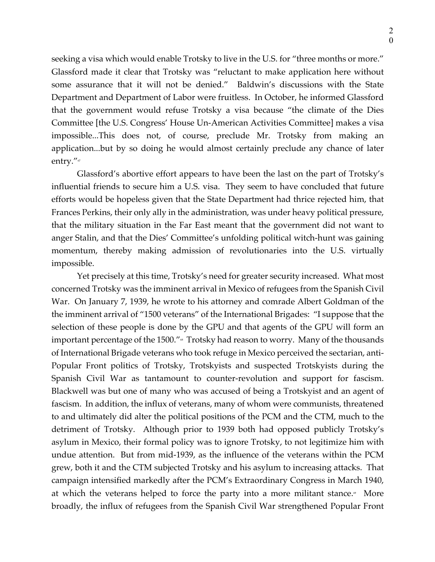seeking a visa which would enable Trotsky to live in the U.S. for "three months or more." Glassford made it clear that Trotsky was "reluctant to make application here without some assurance that it will not be denied." Baldwin's discussions with the State Department and Department of Labor were fruitless. In October, he informed Glassford that the government would refuse Trotsky a visa because "the climate of the Dies Committee [the U.S. Congress' House Un-American Activities Committee] makes a visa impossible...This does not, of course, preclude Mr. Trotsky from making an application...but by so doing he would almost certainly preclude any chance of later entry."

Glassford's abortive effort appears to have been the last on the part of Trotsky's influential friends to secure him a U.S. visa. They seem to have concluded that future efforts would be hopeless given that the State Department had thrice rejected him, that Frances Perkins, their only ally in the administration, was under heavy political pressure, that the military situation in the Far East meant that the government did not want to anger Stalin, and that the Dies' Committee's unfolding political witch-hunt was gaining momentum, thereby making admission of revolutionaries into the U.S. virtually impossible.

Yet precisely at this time, Trotsky's need for greater security increased. What most concerned Trotsky was the imminent arrival in Mexico of refugees from the Spanish Civil War. On January 7, 1939, he wrote to his attorney and comrade Albert Goldman of the the imminent arrival of "1500 veterans" of the International Brigades: "I suppose that the selection of these people is done by the GPU and that agents of the GPU will form an important percentage of the 1500."<sup>\*</sup> Trotsky had reason to worry. Many of the thousands of International Brigade veterans who took refuge in Mexico perceived the sectarian, anti-Popular Front politics of Trotsky, Trotskyists and suspected Trotskyists during the Spanish Civil War as tantamount to counter-revolution and support for fascism. Blackwell was but one of many who was accused of being a Trotskyist and an agent of fascism. In addition, the influx of veterans, many of whom were communists, threatened to and ultimately did alter the political positions of the PCM and the CTM, much to the detriment of Trotsky. Although prior to 1939 both had opposed publicly Trotsky's asylum in Mexico, their formal policy was to ignore Trotsky, to not legitimize him with undue attention. But from mid-1939, as the influence of the veterans within the PCM grew, both it and the CTM subjected Trotsky and his asylum to increasing attacks. That campaign intensified markedly after the PCM's Extraordinary Congress in March 1940, at which the veterans helped to force the party into a more militant stance. $\mathscr{C}$  More broadly, the influx of refugees from the Spanish Civil War strengthened Popular Front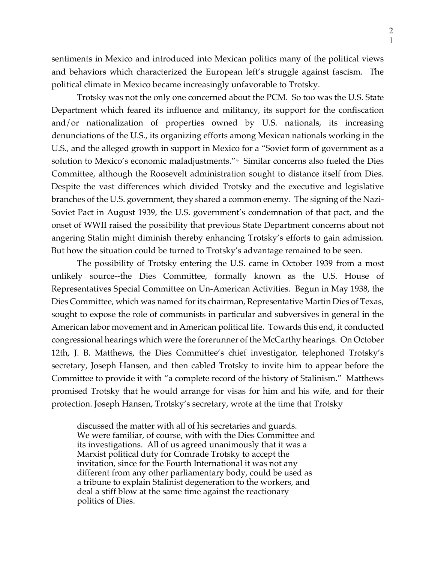sentiments in Mexico and introduced into Mexican politics many of the political views and behaviors which characterized the European left's struggle against fascism. The political climate in Mexico became increasingly unfavorable to Trotsky.

Trotsky was not the only one concerned about the PCM. So too was the U.S. State Department which feared its influence and militancy, its support for the confiscation and/or nationalization of properties owned by U.S. nationals, its increasing denunciations of the U.S., its organizing efforts among Mexican nationals working in the U.S., and the alleged growth in support in Mexico for a "Soviet form of government as a solution to Mexico's economic maladjustments." $\infty$  Similar concerns also fueled the Dies Committee, although the Roosevelt administration sought to distance itself from Dies. Despite the vast differences which divided Trotsky and the executive and legislative branches of the U.S. government, they shared a common enemy. The signing of the Nazi-Soviet Pact in August 1939, the U.S. government's condemnation of that pact, and the onset of WWII raised the possibility that previous State Department concerns about not angering Stalin might diminish thereby enhancing Trotsky's efforts to gain admission. But how the situation could be turned to Trotsky's advantage remained to be seen.

The possibility of Trotsky entering the U.S. came in October 1939 from a most unlikely source--the Dies Committee, formally known as the U.S. House of Representatives Special Committee on Un-American Activities. Begun in May 1938, the Dies Committee, which was named for its chairman, Representative Martin Dies of Texas, sought to expose the role of communists in particular and subversives in general in the American labor movement and in American political life. Towards this end, it conducted congressional hearings which were the forerunner of the McCarthy hearings. On October 12th, J. B. Matthews, the Dies Committee's chief investigator, telephoned Trotsky's secretary, Joseph Hansen, and then cabled Trotsky to invite him to appear before the Committee to provide it with "a complete record of the history of Stalinism." Matthews promised Trotsky that he would arrange for visas for him and his wife, and for their protection. Joseph Hansen, Trotsky's secretary, wrote at the time that Trotsky

discussed the matter with all of his secretaries and guards. We were familiar, of course, with with the Dies Committee and its investigations. All of us agreed unanimously that it was a Marxist political duty for Comrade Trotsky to accept the invitation, since for the Fourth International it was not any different from any other parliamentary body, could be used as a tribune to explain Stalinist degeneration to the workers, and deal a stiff blow at the same time against the reactionary politics of Dies.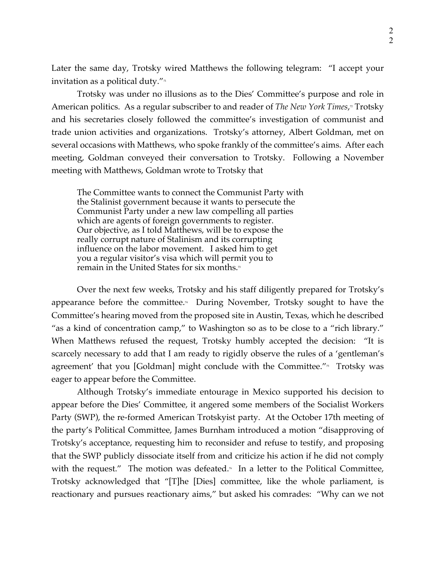Later the same day, Trotsky wired Matthews the following telegram: "I accept your invitation as a political duty." $\pi$ 

Trotsky was under no illusions as to the Dies' Committee's purpose and role in American politics. As a regular subscriber to and reader of *The New York Times,*<sup>n</sup> Trotsky and his secretaries closely followed the committee's investigation of communist and trade union activities and organizations. Trotsky's attorney, Albert Goldman, met on several occasions with Matthews, who spoke frankly of the committee's aims. After each meeting, Goldman conveyed their conversation to Trotsky. Following a November meeting with Matthews, Goldman wrote to Trotsky that

The Committee wants to connect the Communist Party with the Stalinist government because it wants to persecute the Communist Party under a new law compelling all parties which are agents of foreign governments to register. Our objective, as I told Matthews, will be to expose the really corrupt nature of Stalinism and its corrupting influence on the labor movement. I asked him to get you a regular visitor's visa which will permit you to remain in the United States for six months.<sup>33</sup>

Over the next few weeks, Trotsky and his staff diligently prepared for Trotsky's appearance before the committee.<sup> $4$ </sup> During November, Trotsky sought to have the Committee's hearing moved from the proposed site in Austin, Texas, which he described "as a kind of concentration camp," to Washington so as to be close to a "rich library." When Matthews refused the request, Trotsky humbly accepted the decision: "It is scarcely necessary to add that I am ready to rigidly observe the rules of a 'gentleman's agreement' that you [Goldman] might conclude with the Committee." $\pi$  Trotsky was eager to appear before the Committee.

Although Trotsky's immediate entourage in Mexico supported his decision to appear before the Dies' Committee, it angered some members of the Socialist Workers Party (SWP), the re-formed American Trotskyist party. At the October 17th meeting of the party's Political Committee, James Burnham introduced a motion "disapproving of Trotsky's acceptance, requesting him to reconsider and refuse to testify, and proposing that the SWP publicly dissociate itself from and criticize his action if he did not comply with the request." The motion was defeated. $\delta$  In a letter to the Political Committee, Trotsky acknowledged that "[T]he [Dies] committee, like the whole parliament, is reactionary and pursues reactionary aims," but asked his comrades: "Why can we not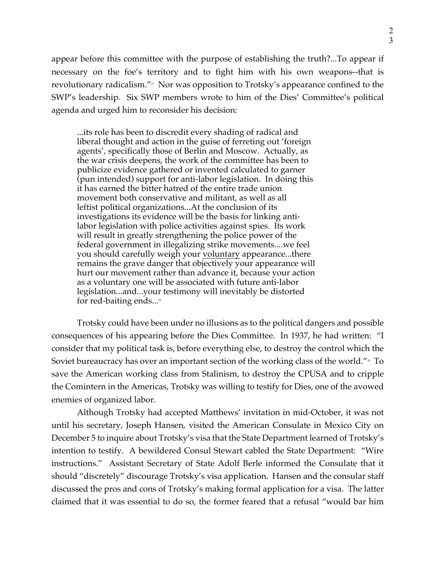appear before this committee with the purpose of establishing the truth?...To appear if necessary on the foe's territory and to fight him with his own weapons--that is revolutionary radicalism." $\pi$  Nor was opposition to Trotsky's appearance confined to the SWP's leadership. Six SWP members wrote to him of the Dies' Committee's political agenda and urged him to reconsider his decision:

...its role has been to discredit every shading of radical and liberal thought and action in the guise of ferreting out 'foreign agents', specifically those of Berlin and Moscow. Actually, as the war crisis deepens, the work of the committee has been to publicize evidence gathered or invented calculated to garner (pun intended) support for anti-labor legislation. In doing this it has earned the bitter hatred of the entire trade union movement both conservative and militant, as well as all leftist political organizations...At the conclusion of its investigations its evidence will be the basis for linking antilabor legislation with police activities against spies. Its work will result in greatly strengthening the police power of the federal government in illegalizing strike movements....we feel you should carefully weigh your voluntary appearance...there remains the grave danger that objectively your appearance will hurt our movement rather than advance it, because your action as a voluntary one will be associated with future anti-labor legislation...and...your testimony will inevitably be distorted for red-baiting ends... $\sqrt[3]{ }$ 

Trotsky could have been under no illusions as to the political dangers and possible consequences of his appearing before the Dies Committee. In 1937, he had written: "I consider that my political task is, before everything else, to destroy the control which the Soviet bureaucracy has over an important section of the working class of the world." $\sim$  To save the American working class from Stalinism, to destroy the CPUSA and to cripple the Comintern in the Americas, Trotsky was willing to testify for Dies, one of the avowed enemies of organized labor.

Although Trotsky had accepted Matthews' invitation in mid-October, it was not until his secretary, Joseph Hansen, visited the American Consulate in Mexico City on December 5 to inquire about Trotsky's visa that the State Department learned of Trotsky's intention to testify. A bewildered Consul Stewart cabled the State Department: "Wire instructions." Assistant Secretary of State Adolf Berle informed the Consulate that it should "discretely" discourage Trotsky's visa application. Hansen and the consular staff discussed the pros and cons of Trotsky's making formal application for a visa. The latter claimed that it was essential to do so, the former feared that a refusal "would bar him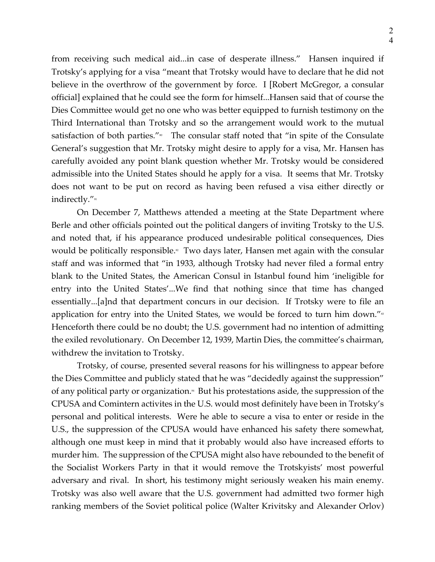from receiving such medical aid...in case of desperate illness." Hansen inquired if Trotsky's applying for a visa "meant that Trotsky would have to declare that he did not believe in the overthrow of the government by force. I [Robert McGregor, a consular official] explained that he could see the form for himself...Hansen said that of course the Dies Committee would get no one who was better equipped to furnish testimony on the Third International than Trotsky and so the arrangement would work to the mutual satisfaction of both parties."<sup>80</sup> The consular staff noted that "in spite of the Consulate General's suggestion that Mr. Trotsky might desire to apply for a visa, Mr. Hansen has carefully avoided any point blank question whether Mr. Trotsky would be considered admissible into the United States should he apply for a visa. It seems that Mr. Trotsky does not want to be put on record as having been refused a visa either directly or indirectly."<sup>81</sup>

On December 7, Matthews attended a meeting at the State Department where Berle and other officials pointed out the political dangers of inviting Trotsky to the U.S. and noted that, if his appearance produced undesirable political consequences, Dies would be politically responsible.<sup>®</sup> Two days later, Hansen met again with the consular staff and was informed that "in 1933, although Trotsky had never filed a formal entry blank to the United States, the American Consul in Istanbul found him 'ineligible for entry into the United States'...We find that nothing since that time has changed essentially...[a]nd that department concurs in our decision. If Trotsky were to file an application for entry into the United States, we would be forced to turn him down." $\frac{s}{s}$ Henceforth there could be no doubt; the U.S. government had no intention of admitting the exiled revolutionary. On December 12, 1939, Martin Dies, the committee's chairman, withdrew the invitation to Trotsky.

Trotsky, of course, presented several reasons for his willingness to appear before the Dies Committee and publicly stated that he was "decidedly against the suppression" of any political party or organization.<sup>44</sup> But his protestations aside, the suppression of the CPUSA and Comintern activites in the U.S. would most definitely have been in Trotsky's personal and political interests. Were he able to secure a visa to enter or reside in the U.S., the suppression of the CPUSA would have enhanced his safety there somewhat, although one must keep in mind that it probably would also have increased efforts to murder him. The suppression of the CPUSA might also have rebounded to the benefit of the Socialist Workers Party in that it would remove the Trotskyists' most powerful adversary and rival. In short, his testimony might seriously weaken his main enemy. Trotsky was also well aware that the U.S. government had admitted two former high ranking members of the Soviet political police (Walter Krivitsky and Alexander Orlov)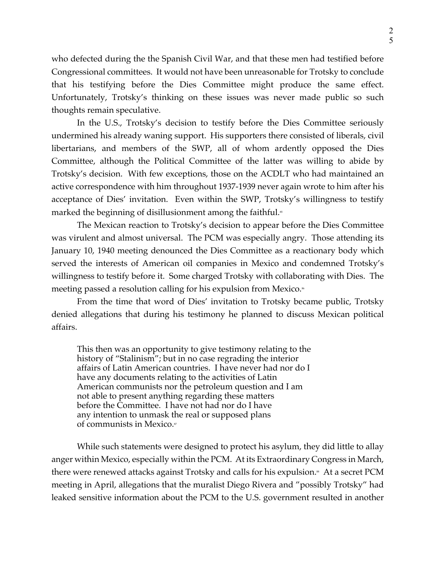who defected during the the Spanish Civil War, and that these men had testified before Congressional committees. It would not have been unreasonable for Trotsky to conclude that his testifying before the Dies Committee might produce the same effect. Unfortunately, Trotsky's thinking on these issues was never made public so such thoughts remain speculative.

In the U.S., Trotsky's decision to testify before the Dies Committee seriously undermined his already waning support. His supporters there consisted of liberals, civil libertarians, and members of the SWP, all of whom ardently opposed the Dies Committee, although the Political Committee of the latter was willing to abide by Trotsky's decision. With few exceptions, those on the ACDLT who had maintained an active correspondence with him throughout 1937-1939 never again wrote to him after his acceptance of Dies' invitation. Even within the SWP, Trotsky's willingness to testify marked the beginning of disillusionment among the faithful.<sup>85</sup>

The Mexican reaction to Trotsky's decision to appear before the Dies Committee was virulent and almost universal. The PCM was especially angry. Those attending its January 10, 1940 meeting denounced the Dies Committee as a reactionary body which served the interests of American oil companies in Mexico and condemned Trotsky's willingness to testify before it. Some charged Trotsky with collaborating with Dies. The meeting passed a resolution calling for his expulsion from Mexico.<sup>®</sup>

From the time that word of Dies' invitation to Trotsky became public, Trotsky denied allegations that during his testimony he planned to discuss Mexican political affairs.

This then was an opportunity to give testimony relating to the history of "Stalinism"; but in no case regrading the interior affairs of Latin American countries. I have never had nor do I have any documents relating to the activities of Latin American communists nor the petroleum question and I am not able to present anything regarding these matters before the Committee. I have not had nor do I have any intention to unmask the real or supposed plans of communists in Mexico.<sup>87</sup>

While such statements were designed to protect his asylum, they did little to allay anger within Mexico, especially within the PCM. At its Extraordinary Congress in March, there were renewed attacks against Trotsky and calls for his expulsion.<sup>8</sup> At a secret PCM meeting in April, allegations that the muralist Diego Rivera and "possibly Trotsky" had leaked sensitive information about the PCM to the U.S. government resulted in another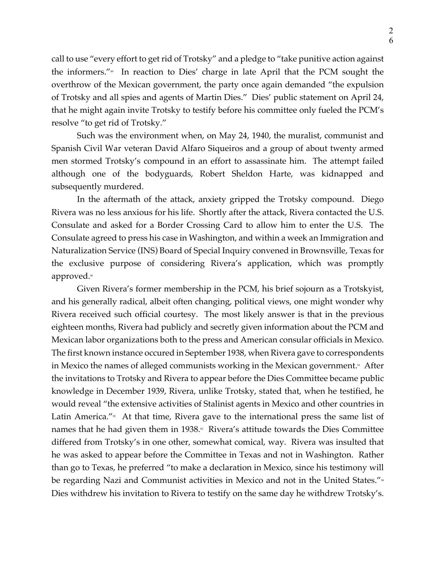call to use "every effort to get rid of Trotsky" and a pledge to "take punitive action against the informers."<sup>89</sup> In reaction to Dies' charge in late April that the PCM sought the overthrow of the Mexican government, the party once again demanded "the expulsion of Trotsky and all spies and agents of Martin Dies." Dies' public statement on April 24, that he might again invite Trotsky to testify before his committee only fueled the PCM's resolve "to get rid of Trotsky."

Such was the environment when, on May 24, 1940, the muralist, communist and Spanish Civil War veteran David Alfaro Siqueiros and a group of about twenty armed men stormed Trotsky's compound in an effort to assassinate him. The attempt failed although one of the bodyguards, Robert Sheldon Harte, was kidnapped and subsequently murdered.

In the aftermath of the attack, anxiety gripped the Trotsky compound. Diego Rivera was no less anxious for his life. Shortly after the attack, Rivera contacted the U.S. Consulate and asked for a Border Crossing Card to allow him to enter the U.S. The Consulate agreed to press his case in Washington, and within a week an Immigration and Naturalization Service (INS) Board of Special Inquiry convened in Brownsville, Texas for the exclusive purpose of considering Rivera's application, which was promptly approved.<sup>90</sup>

Given Rivera's former membership in the PCM, his brief sojourn as a Trotskyist, and his generally radical, albeit often changing, political views, one might wonder why Rivera received such official courtesy. The most likely answer is that in the previous eighteen months, Rivera had publicly and secretly given information about the PCM and Mexican labor organizations both to the press and American consular officials in Mexico. The first known instance occured in September 1938, when Rivera gave to correspondents in Mexico the names of alleged communists working in the Mexican government.<sup> $n$ </sup> After the invitations to Trotsky and Rivera to appear before the Dies Committee became public knowledge in December 1939, Rivera, unlike Trotsky, stated that, when he testified, he would reveal "the extensive activities of Stalinist agents in Mexico and other countries in Latin America." $\frac{1}{2}$  At that time, Rivera gave to the international press the same list of names that he had given them in 1938.<sup>93</sup> Rivera's attitude towards the Dies Committee differed from Trotsky's in one other, somewhat comical, way. Rivera was insulted that he was asked to appear before the Committee in Texas and not in Washington. Rather than go to Texas, he preferred "to make a declaration in Mexico, since his testimony will be regarding Nazi and Communist activities in Mexico and not in the United States."<sup>44</sup> Dies withdrew his invitation to Rivera to testify on the same day he withdrew Trotsky's.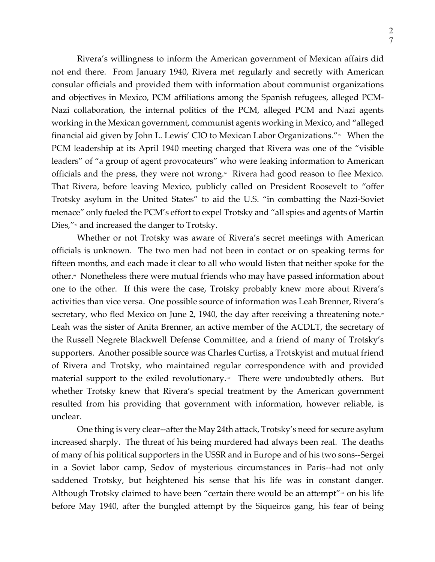Rivera's willingness to inform the American government of Mexican affairs did not end there. From January 1940, Rivera met regularly and secretly with American consular officials and provided them with information about communist organizations and objectives in Mexico, PCM affiliations among the Spanish refugees, alleged PCM-Nazi collaboration, the internal politics of the PCM, alleged PCM and Nazi agents working in the Mexican government, communist agents working in Mexico, and "alleged financial aid given by John L. Lewis' CIO to Mexican Labor Organizations."<sup>55</sup> When the PCM leadership at its April 1940 meeting charged that Rivera was one of the "visible leaders" of "a group of agent provocateurs" who were leaking information to American officials and the press, they were not wrong.<sup>\*</sup> Rivera had good reason to flee Mexico. That Rivera, before leaving Mexico, publicly called on President Roosevelt to "offer Trotsky asylum in the United States" to aid the U.S. "in combatting the Nazi-Soviet menace" only fueled the PCM's effort to expel Trotsky and "all spies and agents of Martin Dies,"<sup>*n*</sup> and increased the danger to Trotsky.

Whether or not Trotsky was aware of Rivera's secret meetings with American officials is unknown. The two men had not been in contact or on speaking terms for fifteen months, and each made it clear to all who would listen that neither spoke for the other.<sup>\*</sup> Nonetheless there were mutual friends who may have passed information about one to the other. If this were the case, Trotsky probably knew more about Rivera's activities than vice versa. One possible source of information was Leah Brenner, Rivera's secretary, who fled Mexico on June 2, 1940, the day after receiving a threatening note.<sup>99</sup> Leah was the sister of Anita Brenner, an active member of the ACDLT, the secretary of the Russell Negrete Blackwell Defense Committee, and a friend of many of Trotsky's supporters. Another possible source was Charles Curtiss, a Trotskyist and mutual friend of Rivera and Trotsky, who maintained regular correspondence with and provided material support to the exiled revolutionary.<sup>100</sup> There were undoubtedly others. But whether Trotsky knew that Rivera's special treatment by the American government resulted from his providing that government with information, however reliable, is unclear.

One thing is very clear--after the May 24th attack, Trotsky's need for secure asylum increased sharply. The threat of his being murdered had always been real. The deaths of many of his political supporters in the USSR and in Europe and of his two sons--Sergei in a Soviet labor camp, Sedov of mysterious circumstances in Paris--had not only saddened Trotsky, but heightened his sense that his life was in constant danger. Although Trotsky claimed to have been "certain there would be an attempt" $\omega$  on his life before May 1940, after the bungled attempt by the Siqueiros gang, his fear of being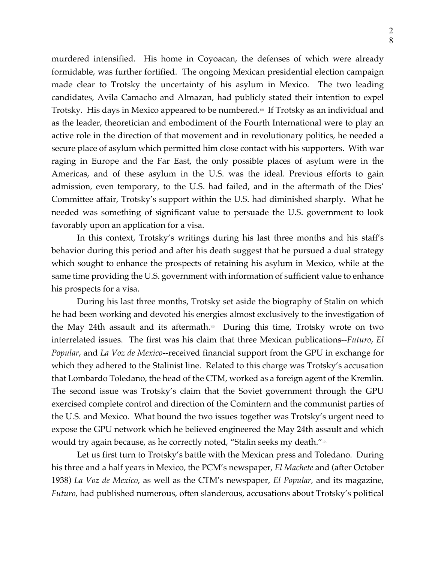murdered intensified. His home in Coyoacan, the defenses of which were already formidable, was further fortified. The ongoing Mexican presidential election campaign made clear to Trotsky the uncertainty of his asylum in Mexico. The two leading candidates, Avila Camacho and Almazan, had publicly stated their intention to expel Trotsky. His days in Mexico appeared to be numbered.<sup>102</sup> If Trotsky as an individual and as the leader, theoretician and embodiment of the Fourth International were to play an active role in the direction of that movement and in revolutionary politics, he needed a secure place of asylum which permitted him close contact with his supporters. With war raging in Europe and the Far East, the only possible places of asylum were in the Americas, and of these asylum in the U.S. was the ideal. Previous efforts to gain admission, even temporary, to the U.S. had failed, and in the aftermath of the Dies' Committee affair, Trotsky's support within the U.S. had diminished sharply. What he needed was something of significant value to persuade the U.S. government to look favorably upon an application for a visa.

In this context, Trotsky's writings during his last three months and his staff's behavior during this period and after his death suggest that he pursued a dual strategy which sought to enhance the prospects of retaining his asylum in Mexico, while at the same time providing the U.S. government with information of sufficient value to enhance his prospects for a visa.

During his last three months, Trotsky set aside the biography of Stalin on which he had been working and devoted his energies almost exclusively to the investigation of the May 24th assault and its aftermath. $\infty$  During this time, Trotsky wrote on two interrelated issues. The first was his claim that three Mexican publications--*Futuro*, *El Popular*, and *La Voz de Mexico*--received financial support from the GPU in exchange for which they adhered to the Stalinist line. Related to this charge was Trotsky's accusation that Lombardo Toledano, the head of the CTM, worked as a foreign agent of the Kremlin. The second issue was Trotsky's claim that the Soviet government through the GPU exercised complete control and direction of the Comintern and the communist parties of the U.S. and Mexico. What bound the two issues together was Trotsky's urgent need to expose the GPU network which he believed engineered the May 24th assault and which would try again because, as he correctly noted, "Stalin seeks my death."<sup>104</sup>

Let us first turn to Trotsky's battle with the Mexican press and Toledano. During his three and a half years in Mexico, the PCM's newspaper, *El Machete* and (after October 1938) *La Voz de Mexico*, as well as the CTM's newspaper, *El Popular,* and its magazine, *Futuro,* had published numerous, often slanderous, accusations about Trotsky's political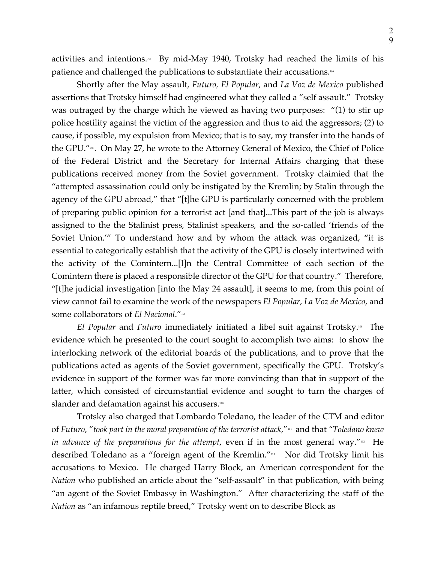activities and intentions.<sup>105</sup> By mid-May 1940, Trotsky had reached the limits of his patience and challenged the publications to substantiate their accusations.<sup>106</sup>

Shortly after the May assault, *Futuro, El Popular*, and *La Voz de Mexico* published assertions that Trotsky himself had engineered what they called a "self assault." Trotsky was outraged by the charge which he viewed as having two purposes: "(1) to stir up police hostility against the victim of the aggression and thus to aid the aggressors; (2) to cause, if possible, my expulsion from Mexico; that is to say, my transfer into the hands of the GPU."<sup>107</sup>. On May 27, he wrote to the Attorney General of Mexico, the Chief of Police of the Federal District and the Secretary for Internal Affairs charging that these publications received money from the Soviet government. Trotsky claimied that the "attempted assassination could only be instigated by the Kremlin; by Stalin through the agency of the GPU abroad," that "[t]he GPU is particularly concerned with the problem of preparing public opinion for a terrorist act [and that]...This part of the job is always assigned to the the Stalinist press, Stalinist speakers, and the so-called 'friends of the Soviet Union.'" To understand how and by whom the attack was organized, "it is essential to categorically establish that the activity of the GPU is closely intertwined with the activity of the Comintern...[I]n the Central Committee of each section of the Comintern there is placed a responsible director of the GPU for that country." Therefore, "[t]he judicial investigation [into the May 24 assault], it seems to me, from this point of view cannot fail to examine the work of the newspapers *El Popular*, *La Voz de Mexico*, and some collaborators of *El Nacional*."<sup>108</sup>

*El Popular* and *Futuro* immediately initiated a libel suit against Trotsky.109 The evidence which he presented to the court sought to accomplish two aims: to show the interlocking network of the editorial boards of the publications, and to prove that the publications acted as agents of the Soviet government, specifically the GPU. Trotsky's evidence in support of the former was far more convincing than that in support of the latter, which consisted of circumstantial evidence and sought to turn the charges of slander and defamation against his accusers.<sup>110</sup>

Trotsky also charged that Lombardo Toledano, the leader of the CTM and editor of *Futuro*, "*took part in the moral preparation of the terrorist attack*,"111 and that *"Toledano knew in advance of the preparations for the attempt,* even if in the most general way."<sup>112</sup> He described Toledano as a "foreign agent of the Kremlin."<sup>113</sup> Nor did Trotsky limit his accusations to Mexico. He charged Harry Block, an American correspondent for the *Nation* who published an article about the "self-assault" in that publication, with being "an agent of the Soviet Embassy in Washington." After characterizing the staff of the *Nation* as "an infamous reptile breed," Trotsky went on to describe Block as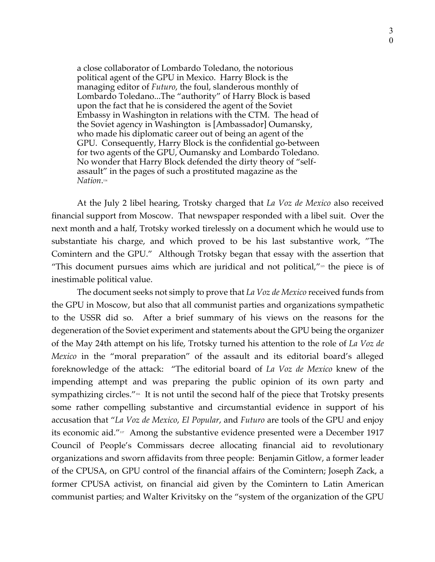a close collaborator of Lombardo Toledano, the notorious political agent of the GPU in Mexico. Harry Block is the managing editor of *Futuro*, the foul, slanderous monthly of Lombardo Toledano...The "authority" of Harry Block is based upon the fact that he is considered the agent of the Soviet Embassy in Washington in relations with the CTM. The head of the Soviet agency in Washington is [Ambassador] Oumansky, who made his diplomatic career out of being an agent of the GPU. Consequently, Harry Block is the confidential go-between for two agents of the GPU, Oumansky and Lombardo Toledano. No wonder that Harry Block defended the dirty theory of "selfassault" in the pages of such a prostituted magazine as the *Nation*. 114

At the July 2 libel hearing, Trotsky charged that *La Voz de Mexico* also received financial support from Moscow. That newspaper responded with a libel suit. Over the next month and a half, Trotsky worked tirelessly on a document which he would use to substantiate his charge, and which proved to be his last substantive work, "The Comintern and the GPU." Although Trotsky began that essay with the assertion that "This document pursues aims which are juridical and not political," $\mu$  the piece is of inestimable political value.

The document seeks not simply to prove that *La Voz de Mexico* received funds from the GPU in Moscow, but also that all communist parties and organizations sympathetic to the USSR did so. After a brief summary of his views on the reasons for the degeneration of the Soviet experiment and statements about the GPU being the organizer of the May 24th attempt on his life, Trotsky turned his attention to the role of *La Voz de Mexico* in the "moral preparation" of the assault and its editorial board's alleged foreknowledge of the attack: "The editorial board of *La Voz de Mexico* knew of the impending attempt and was preparing the public opinion of its own party and sympathizing circles."<sup>16</sup> It is not until the second half of the piece that Trotsky presents some rather compelling substantive and circumstantial evidence in support of his accusation that "*La Voz de Mexico*, *El Popular*, and *Futuro* are tools of the GPU and enjoy its economic aid."117 Among the substantive evidence presented were a December 1917 Council of People's Commissars decree allocating financial aid to revolutionary organizations and sworn affidavits from three people: Benjamin Gitlow, a former leader of the CPUSA, on GPU control of the financial affairs of the Comintern; Joseph Zack, a former CPUSA activist, on financial aid given by the Comintern to Latin American communist parties; and Walter Krivitsky on the "system of the organization of the GPU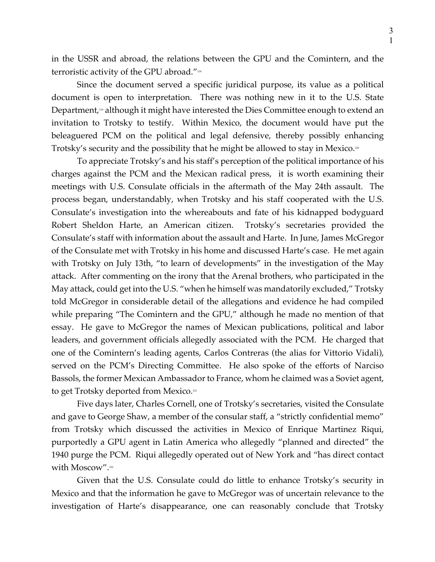in the USSR and abroad, the relations between the GPU and the Comintern, and the terroristic activity of the GPU abroad."<sup>118</sup>

Since the document served a specific juridical purpose, its value as a political document is open to interpretation. There was nothing new in it to the U.S. State Department,<sup>119</sup> although it might have interested the Dies Committee enough to extend an invitation to Trotsky to testify. Within Mexico, the document would have put the beleaguered PCM on the political and legal defensive, thereby possibly enhancing Trotsky's security and the possibility that he might be allowed to stay in Mexico.<sup>120</sup>

To appreciate Trotsky's and his staff's perception of the political importance of his charges against the PCM and the Mexican radical press, it is worth examining their meetings with U.S. Consulate officials in the aftermath of the May 24th assault. The process began, understandably, when Trotsky and his staff cooperated with the U.S. Consulate's investigation into the whereabouts and fate of his kidnapped bodyguard Robert Sheldon Harte, an American citizen. Trotsky's secretaries provided the Consulate's staff with information about the assault and Harte. In June, James McGregor of the Consulate met with Trotsky in his home and discussed Harte's case. He met again with Trotsky on July 13th, "to learn of developments" in the investigation of the May attack. After commenting on the irony that the Arenal brothers, who participated in the May attack, could get into the U.S. "when he himself was mandatorily excluded," Trotsky told McGregor in considerable detail of the allegations and evidence he had compiled while preparing "The Comintern and the GPU," although he made no mention of that essay. He gave to McGregor the names of Mexican publications, political and labor leaders, and government officials allegedly associated with the PCM. He charged that one of the Comintern's leading agents, Carlos Contreras (the alias for Vittorio Vidali), served on the PCM's Directing Committee. He also spoke of the efforts of Narciso Bassols, the former Mexican Ambassador to France, whom he claimed was a Soviet agent, to get Trotsky deported from Mexico.<sup>121</sup>

Five days later, Charles Cornell, one of Trotsky's secretaries, visited the Consulate and gave to George Shaw, a member of the consular staff, a "strictly confidential memo" from Trotsky which discussed the activities in Mexico of Enrique Martinez Riqui, purportedly a GPU agent in Latin America who allegedly "planned and directed" the 1940 purge the PCM. Riqui allegedly operated out of New York and "has direct contact with Moscow".<sup>122</sup>

Given that the U.S. Consulate could do little to enhance Trotsky's security in Mexico and that the information he gave to McGregor was of uncertain relevance to the investigation of Harte's disappearance, one can reasonably conclude that Trotsky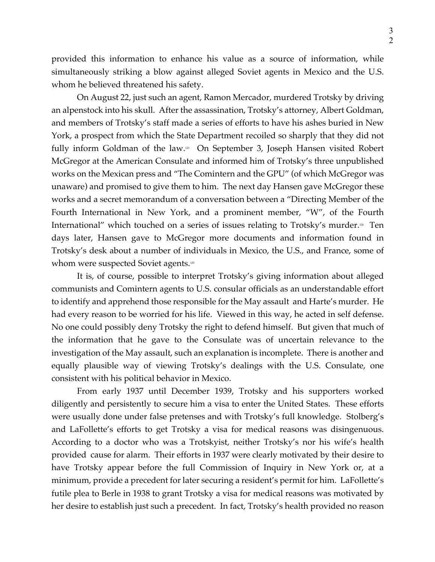provided this information to enhance his value as a source of information, while simultaneously striking a blow against alleged Soviet agents in Mexico and the U.S. whom he believed threatened his safety.

On August 22, just such an agent, Ramon Mercador, murdered Trotsky by driving an alpenstock into his skull. After the assassination, Trotsky's attorney, Albert Goldman, and members of Trotsky's staff made a series of efforts to have his ashes buried in New York, a prospect from which the State Department recoiled so sharply that they did not fully inform Goldman of the law.<sup>123</sup> On September 3, Joseph Hansen visited Robert McGregor at the American Consulate and informed him of Trotsky's three unpublished works on the Mexican press and "The Comintern and the GPU" (of which McGregor was unaware) and promised to give them to him. The next day Hansen gave McGregor these works and a secret memorandum of a conversation between a "Directing Member of the Fourth International in New York, and a prominent member, "W", of the Fourth International" which touched on a series of issues relating to Trotsky's murder.<sup>124</sup> Ten days later, Hansen gave to McGregor more documents and information found in Trotsky's desk about a number of individuals in Mexico, the U.S., and France, some of whom were suspected Soviet agents.<sup>125</sup>

It is, of course, possible to interpret Trotsky's giving information about alleged communists and Comintern agents to U.S. consular officials as an understandable effort to identify and apprehend those responsible for the May assault and Harte's murder. He had every reason to be worried for his life. Viewed in this way, he acted in self defense. No one could possibly deny Trotsky the right to defend himself. But given that much of the information that he gave to the Consulate was of uncertain relevance to the investigation of the May assault, such an explanation is incomplete. There is another and equally plausible way of viewing Trotsky's dealings with the U.S. Consulate, one consistent with his political behavior in Mexico.

From early 1937 until December 1939, Trotsky and his supporters worked diligently and persistently to secure him a visa to enter the United States. These efforts were usually done under false pretenses and with Trotsky's full knowledge. Stolberg's and LaFollette's efforts to get Trotsky a visa for medical reasons was disingenuous. According to a doctor who was a Trotskyist, neither Trotsky's nor his wife's health provided cause for alarm. Their efforts in 1937 were clearly motivated by their desire to have Trotsky appear before the full Commission of Inquiry in New York or, at a minimum, provide a precedent for later securing a resident's permit for him. LaFollette's futile plea to Berle in 1938 to grant Trotsky a visa for medical reasons was motivated by her desire to establish just such a precedent. In fact, Trotsky's health provided no reason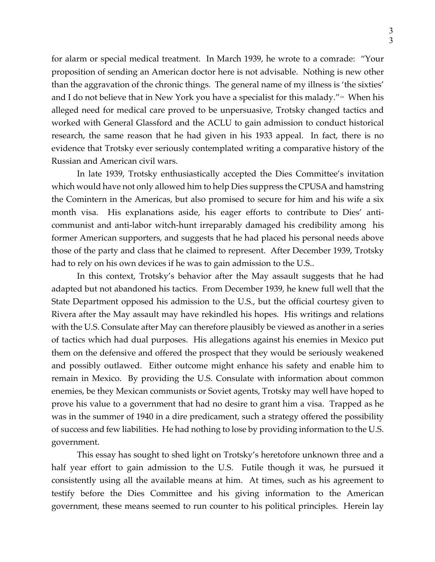for alarm or special medical treatment. In March 1939, he wrote to a comrade: "Your proposition of sending an American doctor here is not advisable. Nothing is new other than the aggravation of the chronic things. The general name of my illness is 'the sixties' and I do not believe that in New York you have a specialist for this malady." $126$  When his alleged need for medical care proved to be unpersuasive, Trotsky changed tactics and worked with General Glassford and the ACLU to gain admission to conduct historical research, the same reason that he had given in his 1933 appeal. In fact, there is no evidence that Trotsky ever seriously contemplated writing a comparative history of the Russian and American civil wars.

In late 1939, Trotsky enthusiastically accepted the Dies Committee's invitation which would have not only allowed him to help Dies suppress the CPUSA and hamstring the Comintern in the Americas, but also promised to secure for him and his wife a six month visa. His explanations aside, his eager efforts to contribute to Dies' anticommunist and anti-labor witch-hunt irreparably damaged his credibility among his former American supporters, and suggests that he had placed his personal needs above those of the party and class that he claimed to represent. After December 1939, Trotsky had to rely on his own devices if he was to gain admission to the U.S..

In this context, Trotsky's behavior after the May assault suggests that he had adapted but not abandoned his tactics. From December 1939, he knew full well that the State Department opposed his admission to the U.S., but the official courtesy given to Rivera after the May assault may have rekindled his hopes. His writings and relations with the U.S. Consulate after May can therefore plausibly be viewed as another in a series of tactics which had dual purposes. His allegations against his enemies in Mexico put them on the defensive and offered the prospect that they would be seriously weakened and possibly outlawed. Either outcome might enhance his safety and enable him to remain in Mexico. By providing the U.S. Consulate with information about common enemies, be they Mexican communists or Soviet agents, Trotsky may well have hoped to prove his value to a government that had no desire to grant him a visa. Trapped as he was in the summer of 1940 in a dire predicament, such a strategy offered the possibility of success and few liabilities. He had nothing to lose by providing information to the U.S. government.

This essay has sought to shed light on Trotsky's heretofore unknown three and a half year effort to gain admission to the U.S. Futile though it was, he pursued it consistently using all the available means at him. At times, such as his agreement to testify before the Dies Committee and his giving information to the American government, these means seemed to run counter to his political principles. Herein lay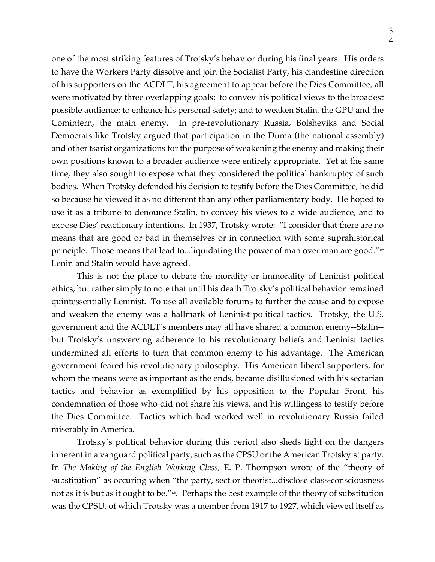one of the most striking features of Trotsky's behavior during his final years. His orders to have the Workers Party dissolve and join the Socialist Party, his clandestine direction of his supporters on the ACDLT, his agreement to appear before the Dies Committee, all were motivated by three overlapping goals: to convey his political views to the broadest possible audience; to enhance his personal safety; and to weaken Stalin, the GPU and the Comintern, the main enemy. In pre-revolutionary Russia, Bolsheviks and Social Democrats like Trotsky argued that participation in the Duma (the national assembly) and other tsarist organizations for the purpose of weakening the enemy and making their own positions known to a broader audience were entirely appropriate. Yet at the same time, they also sought to expose what they considered the political bankruptcy of such bodies. When Trotsky defended his decision to testify before the Dies Committee, he did so because he viewed it as no different than any other parliamentary body. He hoped to use it as a tribune to denounce Stalin, to convey his views to a wide audience, and to expose Dies' reactionary intentions. In 1937, Trotsky wrote: "I consider that there are no means that are good or bad in themselves or in connection with some suprahistorical principle. Those means that lead to...liquidating the power of man over man are good." $\nu$ Lenin and Stalin would have agreed.

This is not the place to debate the morality or immorality of Leninist political ethics, but rather simply to note that until his death Trotsky's political behavior remained quintessentially Leninist. To use all available forums to further the cause and to expose and weaken the enemy was a hallmark of Leninist political tactics. Trotsky, the U.S. government and the ACDLT's members may all have shared a common enemy--Stalin- but Trotsky's unswerving adherence to his revolutionary beliefs and Leninist tactics undermined all efforts to turn that common enemy to his advantage. The American government feared his revolutionary philosophy. His American liberal supporters, for whom the means were as important as the ends, became disillusioned with his sectarian tactics and behavior as exemplified by his opposition to the Popular Front, his condemnation of those who did not share his views, and his willingess to testify before the Dies Committee. Tactics which had worked well in revolutionary Russia failed miserably in America.

Trotsky's political behavior during this period also sheds light on the dangers inherent in a vanguard political party, such as the CPSU or the American Trotskyist party. In *The Making of the English Working Class*, E. P. Thompson wrote of the "theory of substitution" as occuring when "the party, sect or theorist...disclose class-consciousness not as it is but as it ought to be."<sup>128</sup>. Perhaps the best example of the theory of substitution was the CPSU, of which Trotsky was a member from 1917 to 1927, which viewed itself as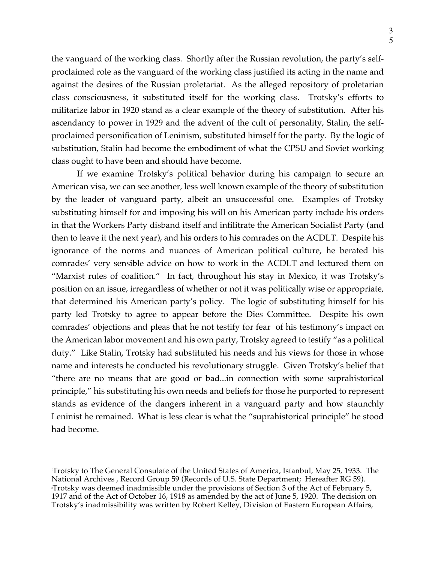the vanguard of the working class. Shortly after the Russian revolution, the party's selfproclaimed role as the vanguard of the working class justified its acting in the name and against the desires of the Russian proletariat. As the alleged repository of proletarian class consciousness, it substituted itself for the working class. Trotsky's efforts to militarize labor in 1920 stand as a clear example of the theory of substitution. After his ascendancy to power in 1929 and the advent of the cult of personality, Stalin, the selfproclaimed personification of Leninism, substituted himself for the party. By the logic of substitution, Stalin had become the embodiment of what the CPSU and Soviet working class ought to have been and should have become.

If we examine Trotsky's political behavior during his campaign to secure an American visa, we can see another, less well known example of the theory of substitution by the leader of vanguard party, albeit an unsuccessful one. Examples of Trotsky substituting himself for and imposing his will on his American party include his orders in that the Workers Party disband itself and infilitrate the American Socialist Party (and then to leave it the next year), and his orders to his comrades on the ACDLT. Despite his ignorance of the norms and nuances of American political culture, he berated his comrades' very sensible advice on how to work in the ACDLT and lectured them on "Marxist rules of coalition." In fact, throughout his stay in Mexico, it was Trotsky's position on an issue, irregardless of whether or not it was politically wise or appropriate, that determined his American party's policy. The logic of substituting himself for his party led Trotsky to agree to appear before the Dies Committee. Despite his own comrades' objections and pleas that he not testify for fear of his testimony's impact on the American labor movement and his own party, Trotsky agreed to testify "as a political duty." Like Stalin, Trotsky had substituted his needs and his views for those in whose name and interests he conducted his revolutionary struggle. Given Trotsky's belief that "there are no means that are good or bad...in connection with some suprahistorical principle," his substituting his own needs and beliefs for those he purported to represent stands as evidence of the dangers inherent in a vanguard party and how staunchly Leninist he remained. What is less clear is what the "suprahistorical principle" he stood had become.

<sup>1</sup> Trotsky to The General Consulate of the United States of America, Istanbul, May 25, 1933. The National Archives , Record Group 59 (Records of U.S. State Department; Hereafter RG 59). 2 Trotsky was deemed inadmissible under the provisions of Section 3 of the Act of February 5, 1917 and of the Act of October 16, 1918 as amended by the act of June 5, 1920. The decision on Trotsky's inadmissibility was written by Robert Kelley, Division of Eastern European Affairs,  $\overline{a}$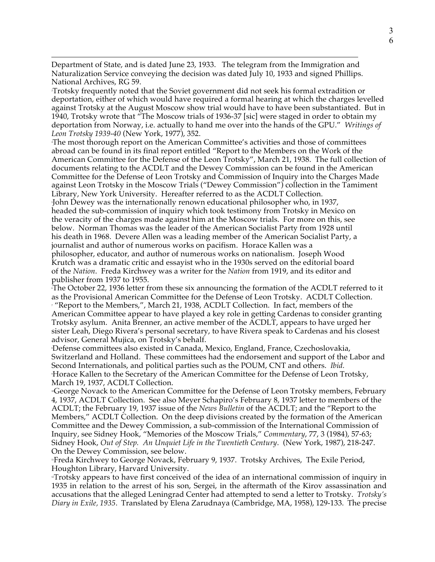$\overline{a}$ Department of State, and is dated June 23, 1933. The telegram from the Immigration and Naturalization Service conveying the decision was dated July 10, 1933 and signed Phillips. National Archives, RG 59.

3 Trotsky frequently noted that the Soviet government did not seek his formal extradition or deportation, either of which would have required a formal hearing at which the charges levelled against Trotsky at the August Moscow show trial would have to have been substantiated. But in 1940, Trotsky wrote that "The Moscow trials of 1936-37 [sic] were staged in order to obtain my deportation from Norway, i.e. actually to hand me over into the hands of the GPU." *Writings of Leon Trotsky 1939-40* (New York, 1977), 352.

4 The most thorough report on the American Committee's activities and those of committees abroad can be found in its final report entitled "Report to the Members on the Work of the American Committee for the Defense of the Leon Trotsky", March 21, 1938. The full collection of documents relating to the ACDLT and the Dewey Commission can be found in the American Committee for the Defense of Leon Trotsky and Commission of Inquiry into the Charges Made against Leon Trotsky in the Moscow Trials ("Dewey Commission") collection in the Tamiment Library, New York University. Hereafter referred to as the ACDLT Collection.

5 John Dewey was the internationally renown educational philosopher who, in 1937, headed the sub-commission of inquiry which took testimony from Trotsky in Mexico on the veracity of the charges made against him at the Moscow trials. For more on this, see below. Norman Thomas was the leader of the American Socialist Party from 1928 until his death in 1968. Devere Allen was a leading member of the American Socialist Party, a journalist and author of numerous works on pacifism. Horace Kallen was a

philosopher, educator, and author of numerous works on nationalism. Joseph Wood Krutch was a dramatic critic and essayist who in the 1930s served on the editorial board of the *Nation*. Freda Kirchwey was a writer for the *Nation* from 1919, and its editor and publisher from 1937 to 1955.

6 The October 22, 1936 letter from these six announcing the formation of the ACDLT referred to it as the Provisional American Committee for the Defense of Leon Trotsky. ACDLT Collection. <sup>7</sup> "Report to the Members,", March 21, 1938, ACDLT Collection. In fact, members of the American Committee appear to have played a key role in getting Cardenas to consider granting Trotsky asylum. Anita Brenner, an active member of the ACDLT, appears to have urged her sister Leah, Diego Rivera's personal secretary, to have Rivera speak to Cardenas and his closest advisor, General Mujica, on Trotsky's behalf.

8 Defense committees also existed in Canada, Mexico, England, France, Czechoslovakia, Switzerland and Holland. These committees had the endorsement and support of the Labor and Second Internationals, and political parties such as the POUM, CNT and others. *Ibid.* 9 Horace Kallen to the Secretary of the American Committee for the Defense of Leon Trotsky, March 19, 1937, ACDLT Collection.

10George Novack to the American Committee for the Defense of Leon Trotsky members, February 4, 1937, ACDLT Collection. See also Meyer Schapiro's February 8, 1937 letter to members of the ACDLT; the February 19, 1937 issue of the *News Bulletin* of the ACDLT; and the "Report to the Members," ACDLT Collection. On the deep divisions created by the formation of the American Committee and the Dewey Commission, a sub-commission of the International Commission of Inquiry, see Sidney Hook, "Memories of the Moscow Trials," *Commentary*, 77, 3 (1984), 57-63; Sidney Hook, *Out of Step. An Unquiet Life in the Twentieth Century*. (New York, 1987), 218-247. On the Dewey Commission, see below.

"Freda Kirchwey to George Novack, February 9, 1937. Trotsky Archives, The Exile Period, Houghton Library, Harvard University.

12Trotsky appears to have first conceived of the idea of an international commission of inquiry in 1935 in relation to the arrest of his son, Sergei, in the aftermath of the Kirov assassination and accusations that the alleged Leningrad Center had attempted to send a letter to Trotsky. *Trotsky's Diary in Exile, 1935*. Translated by Elena Zarudnaya (Cambridge, MA, 1958), 129-133. The precise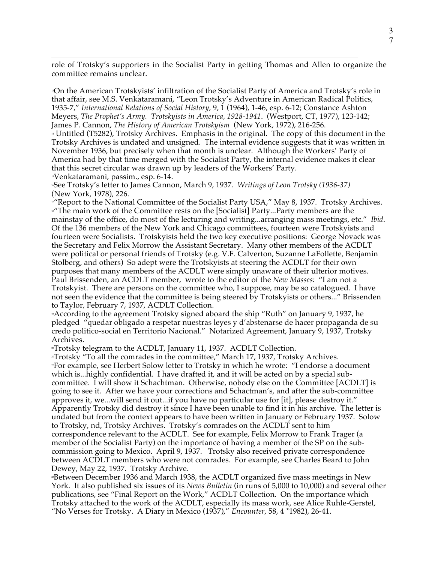$\overline{a}$ role of Trotsky's supporters in the Socialist Party in getting Thomas and Allen to organize the committee remains unclear.

13On the American Trotskyists' infiltration of the Socialist Party of America and Trotsky's role in that affair, see M.S. Venkataramani, "Leon Trotsky's Adventure in American Radical Politics, 1935-7," *International Relations of Social History*, 9, 1 (1964), 1-46, esp. 6-12; Constance Ashton Meyers, *The Prophet's Army. Trotskyists in America, 1928-1941*. (Westport, CT, 1977), 123-142; James P. Cannon, *The History of American Trotskyism* (New York, 1972), 216-256.

<sup>14</sup> Untitled (T5282), Trotsky Archives. Emphasis in the original. The copy of this document in the Trotsky Archives is undated and unsigned. The internal evidence suggests that it was written in November 1936, but precisely when that month is unclear. Although the Workers' Party of America had by that time merged with the Socialist Party, the internal evidence makes it clear that this secret circular was drawn up by leaders of the Workers' Party.

15Venkataramani, passim., esp. 6-14.

16See Trotsky's letter to James Cannon, March 9, 1937. *Writings of Leon Trotsky (1936-37)* (New York, 1978), 226.

<sup>17</sup>"Report to the National Committee of the Socialist Party USA," May 8, 1937. Trotsky Archives. <sup>18</sup>"The main work of the Committee rests on the [Socialist] Party...Party members are the mainstay of the office, do most of the lecturing and writing...arranging mass meetings, etc." *Ibid*. Of the 136 members of the New York and Chicago committees, fourteen were Trotskyists and fourteen were Socialists. Trotskyists held the two key executive positions: George Novack was the Secretary and Felix Morrow the Assistant Secretary. Many other members of the ACDLT were political or personal friends of Trotsky (e.g. V.F. Calverton, Suzanne LaFollette, Benjamin Stolberg, and others) So adept were the Trotskyists at steering the ACDLT for their own purposes that many members of the ACDLT were simply unaware of their ulterior motives. Paul Brissenden, an ACDLT member, wrote to the editor of the *New Masses:* "I am not a Trotskyist. There are persons on the committee who, I suppose, may be so catalogued. I have not seen the evidence that the committee is being steered by Trotskyists or others..." Brissenden to Taylor, February 7, 1937, ACDLT Collection.

19According to the agreement Trotsky signed aboard the ship "Ruth" on January 9, 1937, he pledged "quedar obligado a respetar nuestras leyes y d'abstenarse de hacer propaganda de su credo politico-social en Territorio Nacional." Notarized Agreement, January 9, 1937, Trotsky Archives.

»Trotsky telegram to the ACDLT, January 11, 1937. ACDLT Collection.

<sup>21</sup>Trotsky "To all the comrades in the committee," March 17, 1937, Trotsky Archives. <sup>2</sup>For example, see Herbert Solow letter to Trotsky in which he wrote: "I endorse a document which is...highly confidential. I have drafted it, and it will be acted on by a special subcommittee. I will show it Schachtman. Otherwise, nobody else on the Committee [ACDLT] is going to see it. After we have your corrections and Schactman's, and after the sub-committee approves it, we...will send it out...if you have no particular use for [it], please destroy it." Apparently Trotsky did destroy it since I have been unable to find it in his archive. The letter is undated but from the context appears to have been written in January or February 1937. Solow to Trotsky, nd, Trotsky Archives. Trotsky's comrades on the ACDLT sent to him correspondence relevant to the ACDLT. See for example, Felix Morrow to Frank Trager (a member of the Socialist Party) on the importance of having a member of the SP on the subcommission going to Mexico. April 9, 1937. Trotsky also received private correspondence between ACDLT members who were not comrades. For example, see Charles Beard to John Dewey, May 22, 1937. Trotsky Archive.

23Between December 1936 and March 1938, the ACDLT organized five mass meetings in New York. It also published six issues of its *News Bulletin* (in runs of 5,000 to 10,000) and several other publications, see "Final Report on the Work," ACDLT Collection. On the importance which Trotsky attached to the work of the ACDLT, especially its mass work, see Alice Ruhle-Gerstel, "No Verses for Trotsky. A Diary in Mexico (1937)," *Encounter,* 58, 4 \*1982), 26-41.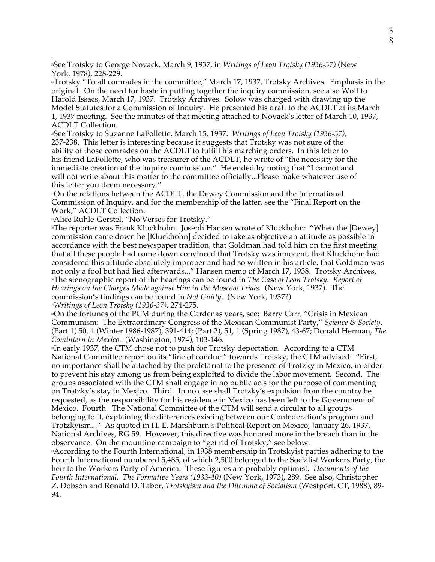24See Trotsky to George Novack, March 9, 1937, in *Writings of Leon Trotsky (1936-37)* (New York, 1978), 228-229.

<sup>25</sup>Trotsky "To all comrades in the committee," March 17, 1937, Trotsky Archives. Emphasis in the original. On the need for haste in putting together the inquiry commission, see also Wolf to Harold Issacs, March 17, 1937. Trotsky Archives. Solow was charged with drawing up the Model Statutes for a Commission of Inquiry. He presented his draft to the ACDLT at its March 1, 1937 meeting. See the minutes of that meeting attached to Novack's letter of March 10, 1937, ACDLT Collection.

26See Trotsky to Suzanne LaFollette, March 15, 1937. *Writings of Leon Trotsky (1936-37)*, 237-238. This letter is interesting because it suggests that Trotsky was not sure of the ability of those comrades on the ACDLT to fulfill his marching orders. In this letter to his friend LaFollette, who was treasurer of the ACDLT, he wrote of "the necessity for the immediate creation of the inquiry commission." He ended by noting that "I cannot and will not write about this matter to the committee officially...Please make whatever use of this letter you deem necessary."

27On the relations between the ACDLT, the Dewey Commission and the International Commission of Inquiry, and for the membership of the latter, see the "Final Report on the Work," ACDLT Collection.

28Alice Ruhle-Gerstel, "No Verses for Trotsky."

 $\overline{a}$ 

<sup>2</sup>The reporter was Frank Kluckhohn. Joseph Hansen wrote of Kluckhohn: "When the [Dewey] commission came down he [Kluckhohn] decided to take as objective an attitude as possible in accordance with the best newspaper tradition, that Goldman had told him on the first meeting that all these people had come down convinced that Trotsky was innocent, that Kluckhohn had considered this attitude absolutely improper and had so written in his article, that Goldman was not only a fool but had lied afterwards..." Hansen memo of March 17, 1938. Trotsky Archives. 30The stenographic report of the hearings can be found in *The Case of Leon Trotsky. Report of Hearings on the Charges Made against Him in the Moscow Trials.* (New York, 1937). The commission's findings can be found in *Not Guilty*. (New York, 1937?)

<sup>31</sup>*Writings of Leon Trotsky (1936-37)*, 274-275.

32On the fortunes of the PCM during the Cardenas years, see: Barry Carr, "Crisis in Mexican Communism: The Extraordinary Congress of the Mexican Communist Party," *Science & Society*, (Part 1) 50, 4 (Winter 1986-1987), 391-414; (Part 2), 51, 1 (Spring 1987), 43-67; Donald Herman, *The Comintern in Mexico.* (Washington, 1974), 103-146.

»In early 1937, the CTM chose not to push for Trotsky deportation. According to a CTM National Committee report on its "line of conduct" towards Trotsky, the CTM advised: "First, no importance shall be attached by the proletariat to the presence of Trotzky in Mexico, in order to prevent his stay among us from being exploited to divide the labor movement. Second. The groups associated with the CTM shall engage in no public acts for the purpose of commenting on Trotzky's stay in Mexico. Third. In no case shall Trotzky's expulsion from the country be requested, as the responsibility for his residence in Mexico has been left to the Government of Mexico. Fourth. The National Committee of the CTM will send a circular to all groups belonging to it, explaining the differences existing between our Confederation's program and Trotzkyism..." As quoted in H. E. Marshburn's Political Report on Mexico, January 26, 1937. National Archives, RG 59. However, this directive was honored more in the breach than in the observance. On the mounting campaign to "get rid of Trotsky," see below.

34According to the Fourth International, in 1938 membership in Trotskyist parties adhering to the Fourth International numbered 5,485, of which 2,500 belonged to the Socialist Workers Party, the heir to the Workers Party of America. These figures are probably optimist. *Documents of the Fourth International. The Formative Years (1933-40)* (New York, 1973), 289. See also, Christopher Z. Dobson and Ronald D. Tabor, *Trotskyism and the Dilemma of Socialism* (Westport, CT, 1988), 89- 94.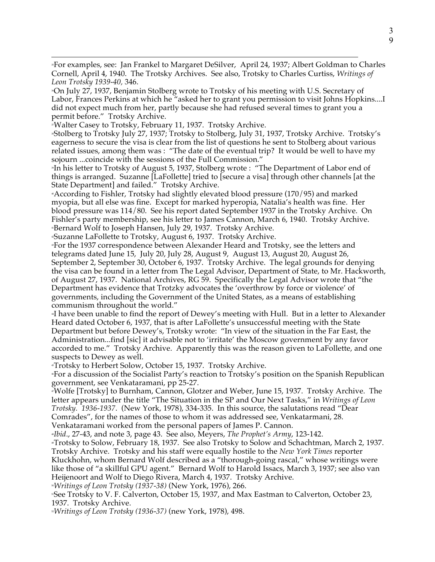$\overline{a}$ 35For examples, see: Jan Frankel to Margaret DeSilver, April 24, 1937; Albert Goldman to Charles Cornell, April 4, 1940. The Trotsky Archives. See also, Trotsky to Charles Curtiss, *Writings of Leon Trotsky 1939-40,* 346.

36On July 27, 1937, Benjamin Stolberg wrote to Trotsky of his meeting with U.S. Secretary of Labor, Frances Perkins at which he "asked her to grant you permission to visit Johns Hopkins....I did not expect much from her, partly because she had refused several times to grant you a permit before." Trotsky Archive.

37Walter Casey to Trotsky, February 11, 1937. Trotsky Archive.

38Stolberg to Trotsky July 27, 1937; Trotsky to Stolberg, July 31, 1937, Trotsky Archive. Trotsky's eagerness to secure the visa is clear from the list of questions he sent to Stolberg about various related issues, among them was : "The date of the eventual trip? It would be well to have my sojourn ...coincide with the sessions of the Full Commission."

»In his letter to Trotsky of August 5, 1937, Stolberg wrote : "The Department of Labor end of things is arranged. Suzanne [LaFollette] tried to [secure a visa] through other channels [at the State Department] and failed." Trotsky Archive.

40According to Fishler, Trotsky had slightly elevated blood pressure (170/95) and marked myopia, but all else was fine. Except for marked hyperopia, Natalia's health was fine. Her blood pressure was 114/80. See his report dated September 1937 in the Trotsky Archive. On Fishler's party membership, see his letter to James Cannon, March 6, 1940. Trotsky Archive. <sup>4</sup>Bernard Wolf to Joseph Hansen, July 29, 1937. Trotsky Archive.

42Suzanne LaFollette to Trotsky, August 6, 1937. Trotsky Archive.

43For the 1937 correspondence between Alexander Heard and Trotsky, see the letters and telegrams dated June 15, July 20, July 28, August 9, August 13, August 20, August 26, September 2, September 30, October 6, 1937. Trotsky Archive. The legal grounds for denying the visa can be found in a letter from The Legal Advisor, Department of State, to Mr. Hackworth, of August 27, 1937. National Archives, RG 59. Specifically the Legal Advisor wrote that "the Department has evidence that Trotzky advocates the 'overthrow by force or violence' of governments, including the Government of the United States, as a means of establishing communism throughout the world."

44I have been unable to find the report of Dewey's meeting with Hull. But in a letter to Alexander Heard dated October 6, 1937, that is after LaFollette's unsuccessful meeting with the State Department but before Dewey's, Trotsky wrote: "In view of the situation in the Far East, the Administration...find [sic] it advisable not to 'irritate' the Moscow government by any favor accorded to me." Trotsky Archive. Apparently this was the reason given to LaFollette, and one suspects to Dewey as well.

45Trotsky to Herbert Solow, October 15, 1937. Trotsky Archive.

46For a discussion of the Socialist Party's reaction to Trotsky's position on the Spanish Republican government, see Venkataramani, pp 25-27.

47Wolfe [Trotsky] to Burnham, Cannon, Glotzer and Weber, June 15, 1937. Trotsky Archive. The letter appears under the title "The Situation in the SP and Our Next Tasks," in *Writings of Leon Trotsky. 1936-1937*. (New York, 1978), 334-335. In this source, the salutations read "Dear Comrades", for the names of those to whom it was addressed see, Venkatarmani, 28.

Venkataramani worked from the personal papers of James P. Cannon.

<sup>48</sup>*Ibid*., 27-43, and note 3, page 43. See also, Meyers, *The Prophet's Army*, 123-142.

49Trotsky to Solow, February 18, 1937. See also Trotsky to Solow and Schachtman, March 2, 1937. Trotsky Archive. Trotsky and his staff were equally hostile to the *New York Times* reporter Kluckhohn, whom Bernard Wolf described as a "thorough-going rascal," whose writings were like those of "a skillful GPU agent." Bernard Wolf to Harold Issacs, March 3, 1937; see also van Heijenoort and Wolf to Diego Rivera, March 4, 1937. Trotsky Archive.

<sup>50</sup>*Writings of Leon Trotsky (1937-38)* (New York, 1976), 266.

<sup>5</sup>See Trotsky to V. F. Calverton, October 15, 1937, and Max Eastman to Calverton, October 23, 1937. Trotsky Archive.

<sup>52</sup>*Writings of Leon Trotsky (1936-37)* (new York, 1978), 498.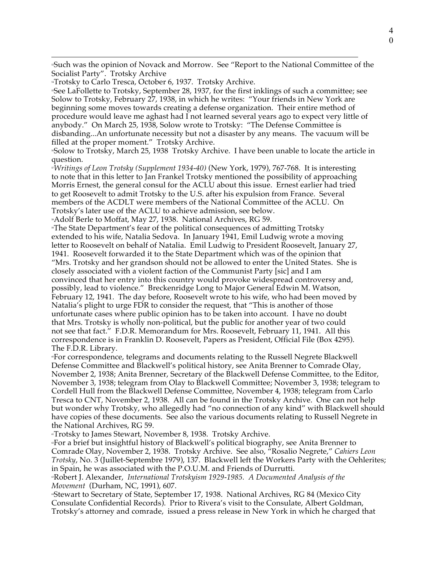$\overline{a}$ 53Such was the opinion of Novack and Morrow. See "Report to the National Committee of the Socialist Party". Trotsky Archive

<sup>54</sup>Trotsky to Carlo Tresca, October 6, 1937. Trotsky Archive.

»See LaFollette to Trotsky, September 28, 1937, for the first inklings of such a committee; see Solow to Trotsky, February 27, 1938, in which he writes: "Your friends in New York are beginning some moves towards creating a defense organization. Their entire method of procedure would leave me aghast had I not learned several years ago to expect very little of anybody." On March 25, 1938, Solow wrote to Trotsky: "The Defense Committee is disbanding...An unfortunate necessity but not a disaster by any means. The vacuum will be filled at the proper moment." Trotsky Archive.

56Solow to Trotsky, March 25, 1938 Trotsky Archive. I have been unable to locate the article in question.

<sup>57</sup>*Writings of Leon Trotsky (Supplement 1934-40)* (New York, 1979), 767-768. It is interesting to note that in this letter to Jan Frankel Trotsky mentioned the possibility of approaching Morris Ernest, the general consul for the ACLU about this issue. Ernest earlier had tried to get Roosevelt to admit Trotsky to the U.S. after his expulsion from France. Several members of the ACDLT were members of the National Committee of the ACLU. On Trotsky's later use of the ACLU to achieve admission, see below.

58Adolf Berle to Moffat, May 27, 1938. National Archives, RG 59.

•The State Department's fear of the political consequences of admitting Trotsky extended to his wife, Natalia Sedova. In January 1941, Emil Ludwig wrote a moving letter to Roosevelt on behalf of Natalia. Emil Ludwig to President Roosevelt, January 27, 1941. Roosevelt forwarded it to the State Department which was of the opinion that "Mrs. Trotsky and her grandson should not be allowed to enter the United States. She is closely associated with a violent faction of the Communist Party [sic] and I am convinced that her entry into this country would provoke widespread controversy and, possibly, lead to violence." Breckenridge Long to Major General Edwin M. Watson, February 12, 1941. The day before, Roosevelt wrote to his wife, who had been moved by Natalia's plight to urge FDR to consider the request, that "This is another of those unfortunate cases where public opinion has to be taken into account. I have no doubt that Mrs. Trotsky is wholly non-political, but the public for another year of two could not see that fact." F.D.R. Memorandum for Mrs. Roosevelt, February 11, 1941. All this correspondence is in Franklin D. Roosevelt, Papers as President, Official File (Box 4295). The F.D.R. Library.

•For correspondence, telegrams and documents relating to the Russell Negrete Blackwell Defense Committee and Blackwell's political history, see Anita Brenner to Comrade Olay, November 2, 1938; Anita Brenner, Secretary of the Blackwell Defense Committee, to the Editor, November 3, 1938; telegram from Olay to Blackwell Committee; November 3, 1938; telegram to Cordell Hull from the Blackwell Defense Committee, November 4, 1938; telegram from Carlo Tresca to CNT, November 2, 1938. All can be found in the Trotsky Archive. One can not help but wonder why Trotsky, who allegedly had "no connection of any kind" with Blackwell should have copies of these documents. See also the various documents relating to Russell Negrete in the National Archives, RG 59.

«Trotsky to James Stewart, November 8, 1938. Trotsky Archive.

62For a brief but insightful history of Blackwell's political biography, see Anita Brenner to Comrade Olay, November 2, 1938. Trotsky Archive. See also, "Rosalio Negrete," *Cahiers Leon Trotsky*, No. 3 (Juillet-Septembre 1979), 137. Blackwell left the Workers Party with the Oehlerites; in Spain, he was associated with the P.O.U.M. and Friends of Durrutti.

63Robert J. Alexander, *International Trotskyism 1929-1985. A Documented Analysis of the Movement* (Durham, NC, 1991), 607.

64Stewart to Secretary of State, September 17, 1938. National Archives, RG 84 (Mexico City Consulate Confidential Records). Prior to Rivera's visit to the Consulate, Albert Goldman, Trotsky's attorney and comrade, issued a press release in New York in which he charged that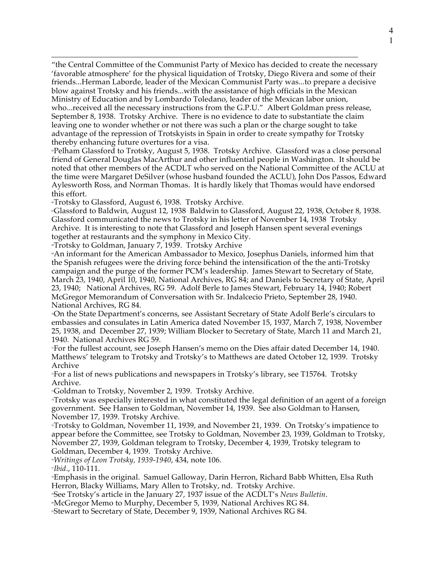"the Central Committee of the Communist Party of Mexico has decided to create the necessary 'favorable atmosphere' for the physical liquidation of Trotsky, Diego Rivera and some of their friends...Herman Laborde, leader of the Mexican Communist Party was...to prepare a decisive blow against Trotsky and his friends...with the assistance of high officials in the Mexican Ministry of Education and by Lombardo Toledano, leader of the Mexican labor union, who...received all the necessary instructions from the G.P.U." Albert Goldman press release, September 8, 1938. Trotsky Archive. There is no evidence to date to substantiate the claim leaving one to wonder whether or not there was such a plan or the charge sought to take advantage of the repression of Trotskyists in Spain in order to create sympathy for Trotsky

thereby enhancing future overtures for a visa.

 $\overline{a}$ 

65Pelham Glassford to Trotsky, August 5, 1938. Trotsky Archive. Glassford was a close personal friend of General Douglas MacArthur and other influential people in Washington. It should be noted that other members of the ACDLT who served on the National Committee of the ACLU at the time were Margaret DeSilver (whose husband founded the ACLU), John Dos Passos, Edward Aylesworth Ross, and Norman Thomas. It is hardly likely that Thomas would have endorsed this effort.

66Trotsky to Glassford, August 6, 1938. Trotsky Archive.

67Glassford to Baldwin, August 12, 1938 Baldwin to Glassford, August 22, 1938, October 8, 1938. Glassford communicated the news to Trotsky in his letter of November 14, 1938 Trotsky Archive. It is interesting to note that Glassford and Joseph Hansen spent several evenings together at restaurants and the symphony in Mexico City.<br>"Trotsky to Goldman, January 7, 1939. Trotsky Archive

69An informant for the American Ambassador to Mexico, Josephus Daniels, informed him that the Spanish refugees were the driving force behind the intensification of the the anti-Trotsky campaign and the purge of the former PCM's leadership. James Stewart to Secretary of State, March 23, 1940, April 10, 1940, National Archives, RG 84; and Daniels to Secretary of State, April 23, 1940; National Archives, RG 59. Adolf Berle to James Stewart, February 14, 1940; Robert McGregor Memorandum of Conversation with Sr. Indalcecio Prieto, September 28, 1940. National Archives, RG 84.

70On the State Department's concerns, see Assistant Secretary of State Adolf Berle's circulars to embassies and consulates in Latin America dated November 15, 1937, March 7, 1938, November 25, 1938, and December 27, 1939; William Blocker to Secretary of State, March 11 and March 21, 1940. National Archives RG 59.

71For the fullest account, see Joseph Hansen's memo on the Dies affair dated December 14, 1940. Matthews' telegram to Trotsky and Trotsky's to Matthews are dated October 12, 1939. Trotsky Archive

72For a list of news publications and newspapers in Trotsky's library, see T15764. Trotsky Archive.

<sup>n</sup>Goldman to Trotsky, November 2, 1939. Trotsky Archive.

<sup>\*</sup>Trotsky was especially interested in what constituted the legal definition of an agent of a foreign government. See Hansen to Goldman, November 14, 1939. See also Goldman to Hansen, November 17, 1939. Trotsky Archive.

75Trotsky to Goldman, November 11, 1939, and November 21, 1939. On Trotsky's impatience to appear before the Committee, see Trotsky to Goldman, November 23, 1939, Goldman to Trotsky, November 27, 1939, Goldman telegram to Trotsky, December 4, 1939, Trotsky telegram to Goldman, December 4, 1939. Trotsky Archive.

<sup>76</sup>*Writings of Leon Trotsky, 1939-1940*, 434, note 106.

<sup>77</sup>*Ibid*., 110-111.

78Emphasis in the original. Samuel Galloway, Darin Herron, Richard Babb Whitten, Elsa Ruth Herron, Blacky Williams, Mary Allen to Trotsky, nd. Trotsky Archive.

79See Trotsky's article in the January 27, 1937 issue of the ACDLT's *News Bulletin*.

80McGregor Memo to Murphy, December 5, 1939, National Archives RG 84.

81Stewart to Secretary of State, December 9, 1939, National Archives RG 84.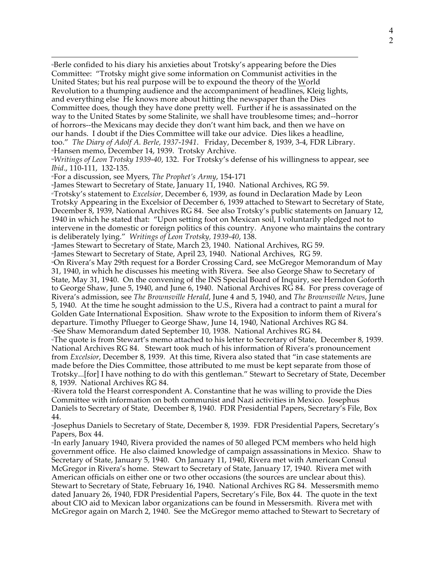82Berle confided to his diary his anxieties about Trotsky's appearing before the Dies Committee: "Trotsky might give some information on Communist activities in the United States; but his real purpose will be to expound the theory of the World Revolution to a thumping audience and the accompaniment of headlines, Kleig lights, and everything else He knows more about hitting the newspaper than the Dies Committee does, though they have done pretty well. Further if he is assassinated on the way to the United States by some Stalinite, we shall have troublesome times; and--horror of horrors--the Mexicans may decide they don't want him back, and then we have on our hands. I doubt if the Dies Committee will take our advice. Dies likes a headline, too." *The Diary of Adolf A. Berle, 1937-1941*. Friday, December 8, 1939, 3-4, FDR Library. <sup>8</sup>Hansen memo, December 14, 1939. Trotsky Archive.

<sup>84</sup>*Writings of Leon Trotsky 1939-40*, 132. For Trotsky's defense of his willingness to appear, see *Ibid*., 110-111, 132-135.

85For a discussion, see Myers, *The Prophet's Army*, 154-171

 $\overline{a}$ 

86James Stewart to Secretary of State, January 11, 1940. National Archives, RG 59.

87Trotsky's statement to *Excelsior,* December 6, 1939, as found in Declaration Made by Leon Trotsky Appearing in the Excelsior of December 6, 1939 attached to Stewart to Secretary of State, December 8, 1939, National Archives RG 84. See also Trotsky's public statements on January 12, 1940 in which he stated that: "Upon setting foot on Mexican soil, I voluntarily pledged not to intervene in the domestic or foreign politics of this country. Anyone who maintains the contrary is deliberately lying." *Writings of Leon Trotsky, 1939-40*, 138.

88James Stewart to Secretary of State, March 23, 1940. National Archives, RG 59.

89James Stewart to Secretary of State, April 23, 1940. National Archives, RG 59.

90On Rivera's May 29th request for a Border Crossing Card, see McGregor Memorandum of May 31, 1940, in which he discusses his meeting with Rivera. See also George Shaw to Secretary of State, May 31, 1940. On the convening of the INS Special Board of Inquiry, see Herndon Goforth to George Shaw, June 5, 1940, and June 6, 1940. National Archives RG 84. For press coverage of Rivera's admission, see *The Brownsville Herald*, June 4 and 5, 1940, and *The Brownsville News*, June 5, 1940. At the time he sought admission to the U.S., Rivera had a contract to paint a mural for Golden Gate International Exposition. Shaw wrote to the Exposition to inform them of Rivera's departure. Timothy Pflueger to George Shaw, June 14, 1940, National Archives RG 84. 91See Shaw Memorandum dated September 10, 1938. National Archives RG 84.

92The quote is from Stewart's memo attached to his letter to Secretary of State, December 8, 1939. National Archives RG 84. Stewart took much of his information of Rivera's pronouncement from *Excelsior*, December 8, 1939. At this time, Rivera also stated that "in case statements are made before the Dies Committee, those attributed to me must be kept separate from those of Trotsky...[for] I have nothing to do with this gentleman." Stewart to Secretary of State, December 8, 1939. National Archives RG 84.

93Rivera told the Hearst correspondent A. Constantine that he was willing to provide the Dies Committee with information on both communist and Nazi activities in Mexico. Josephus Daniels to Secretary of State, December 8, 1940. FDR Presidential Papers, Secretary's File, Box 44.

94Josephus Daniels to Secretary of State, December 8, 1939. FDR Presidential Papers, Secretary's Papers, Box 44.

95In early January 1940, Rivera provided the names of 50 alleged PCM members who held high government office. He also claimed knowledge of campaign assassinations in Mexico. Shaw to Secretary of State, January 5, 1940. On January 11, 1940, Rivera met with American Consul McGregor in Rivera's home. Stewart to Secretary of State, January 17, 1940. Rivera met with American officials on either one or two other occasions (the sources are unclear about this). Stewart to Secretary of State, February 16, 1940. National Archives RG 84. Messersmith memo dated January 26, 1940, FDR Presidential Papers, Secretary's File, Box 44. The quote in the text about CIO aid to Mexican labor organizations can be found in Messersmith. Rivera met with McGregor again on March 2, 1940. See the McGregor memo attached to Stewart to Secretary of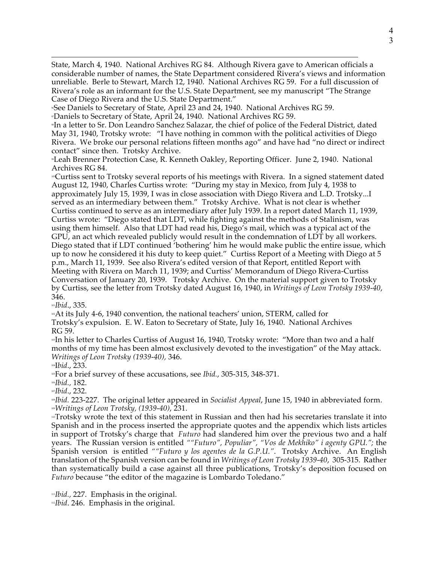$\overline{a}$ State, March 4, 1940. National Archives RG 84. Although Rivera gave to American officials a considerable number of names, the State Department considered Rivera's views and information unreliable. Berle to Stewart, March 12, 1940. National Archives RG 59. For a full discussion of Rivera's role as an informant for the U.S. State Department, see my manuscript "The Strange Case of Diego Rivera and the U.S. State Department."

96See Daniels to Secretary of State, April 23 and 24, 1940. National Archives RG 59.

97Daniels to Secretary of State, April 24, 1940. National Archives RG 59.

98In a letter to Sr. Don Leandro Sanchez Salazar, the chief of police of the Federal District, dated May 31, 1940, Trotsky wrote: "I have nothing in common with the political activities of Diego Rivera. We broke our personal relations fifteen months ago" and have had "no direct or indirect contact" since then. Trotsky Archive.

99Leah Brenner Protection Case, R. Kenneth Oakley, Reporting Officer. June 2, 1940. National Archives RG 84.

100Curtiss sent to Trotsky several reports of his meetings with Rivera. In a signed statement dated August 12, 1940, Charles Curtiss wrote: "During my stay in Mexico, from July 4, 1938 to approximately July 15, 1939, I was in close association with Diego Rivera and L.D. Trotsky...I served as an intermediary between them." Trotsky Archive. What is not clear is whether Curtiss continued to serve as an intermediary after July 1939. In a report dated March 11, 1939, Curtiss wrote: "Diego stated that LDT, while fighting against the methods of Stalinism, was using them himself. Also that LDT had read his, Diego's mail, which was a typical act of the GPU, an act which revealed publicly would result in the condemnation of LDT by all workers. Diego stated that if LDT continued 'bothering' him he would make public the entire issue, which up to now he considered it his duty to keep quiet." Curtiss Report of a Meeting with Diego at 5 p.m., March 11, 1939. See also Rivera's edited version of that Report, entitled Report with Meeting with Rivera on March 11, 1939; and Curtiss' Memorandum of Diego Rivera-Curtiss Conversation of January 20, 1939. Trotsky Archive. On the material support given to Trotsky by Curtiss, see the letter from Trotsky dated August 16, 1940, in *Writings of Leon Trotsky 1939-40*, 346.

<sup>101</sup>*Ibid*., 335.

 $\triangle$ 4. Its July 4-6, 1940 convention, the national teachers' union, STERM, called for

Trotsky's expulsion. E. W. Eaton to Secretary of State, July 16, 1940. National Archives RG 59.

In his letter to Charles Curtiss of August 16, 1940, Trotsky wrote: "More than two and a half months of my time has been almost exclusively devoted to the investigation" of the May attack. *Writings of Leon Trotsky (1939-40),* 346.

104I*bid*., 233.

105For a brief survey of these accusations, see *Ibid.*, 305-315, 348-371.

<sup>106</sup>*Ibid.,* 182.

<sup>107</sup>*Ibid*., 232.

<sup>108</sup>*Ibid.* 223-227. The original letter appeared in *Socialist Appeal*, June 15, 1940 in abbreviated form. <sup>109</sup>*Writings of Leon Trotsky, (1939-40)*, 231.

110Trotsky wrote the text of this statement in Russian and then had his secretaries translate it into Spanish and in the process inserted the appropriate quotes and the appendix which lists articles in support of Trotsky's charge that *Futuro* had slandered him over the previous two and a half years. The Russian version is entitled *""Futuro", Populiar", "Vos de Mekhiko" i agenty GPU.";* the Spanish version is entitled *""Futuro y los agentes de la G.P.U."*. Trotsky Archive. An English translation of the Spanish version can be found in *Writings of Leon Trotsky 1939-40*, 305-315. Rather than systematically build a case against all three publications, Trotsky's deposition focused on *Futuro* because "the editor of the magazine is Lombardo Toledano."

<sup>111</sup>*Ibid.,* 227. Emphasis in the original. <sup>112</sup>*Ibid*. 246. Emphasis in the original.

4 3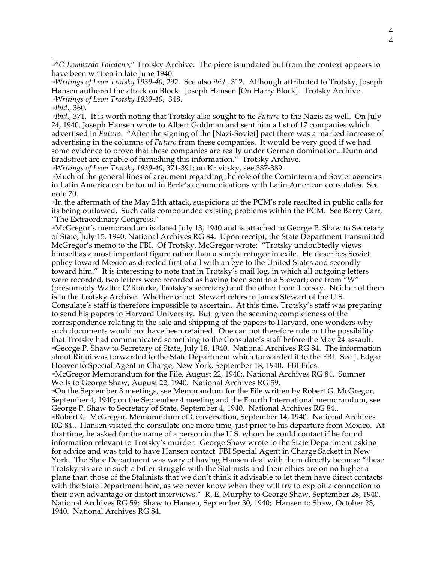$\overline{a}$ 113"*O Lombardo Toledano,*" Trotsky Archive. The piece is undated but from the context appears to have been written in late June 1940.

<sup>114</sup>*Writings of Leon Trotsky 1939-40*, 292. See also *ibid*., 312. Although attributed to Trotsky, Joseph Hansen authored the attack on Block. Joseph Hansen [On Harry Block]. Trotsky Archive. <sup>115</sup>*Writings of Leon Trotsky 1939-40*, 348.

<sup>117</sup>*Ibid*., 371. It is worth noting that Trotsky also sought to tie *Futuro* to the Nazis as well. On July 24, 1940, Joseph Hansen wrote to Albert Goldman and sent him a list of 17 companies which advertised in *Futuro*. "After the signing of the [Nazi-Soviet] pact there was a marked increase of advertising in the columns of *Futuro* from these companies. It would be very good if we had some evidence to prove that these companies are really under German domination...Dunn and Bradstreet are capable of furnishing this information." Trotsky Archive.

<sup>118</sup>*Writings of Leon Trotsky 1939-40*, 371-391; on Krivitsky, see 387-389.

119Much of the general lines of argument regarding the role of the Comintern and Soviet agencies in Latin America can be found in Berle's communications with Latin American consulates. See note 70.

<sup>12</sup>In the aftermath of the May 24th attack, suspicions of the PCM's role resulted in public calls for its being outlawed. Such calls compounded existing problems within the PCM. See Barry Carr, "The Extraordinary Congress."

121McGregor's memorandum is dated July 13, 1940 and is attached to George P. Shaw to Secretary of State, July 15, 1940, National Archives RG 84. Upon receipt, the State Department transmitted McGregor's memo to the FBI. Of Trotsky, McGregor wrote: "Trotsky undoubtedly views himself as a most important figure rather than a simple refugee in exile. He describes Soviet policy toward Mexico as directed first of all with an eye to the United States and secondly toward him." It is interesting to note that in Trotsky's mail log, in which all outgoing letters were recorded, two letters were recorded as having been sent to a Stewart; one from "W" (presumably Walter O'Rourke, Trotsky's secretary) and the other from Trotsky. Neither of them is in the Trotsky Archive. Whether or not Stewart refers to James Stewart of the U.S. Consulate's staff is therefore impossible to ascertain. At this time, Trotsky's staff was preparing to send his papers to Harvard University. But given the seeming completeness of the correspondence relating to the sale and shipping of the papers to Harvard, one wonders why such documents would not have been retained. One can not therefore rule out the possibility that Trotsky had communicated something to the Consulate's staff before the May 24 assault. 122George P. Shaw to Secretary of State, July 18, 1940. National Archives RG 84. The information about Riqui was forwarded to the State Department which forwarded it to the FBI. See J. Edgar Hoover to Special Agent in Charge, New York, September 18, 1940. FBI Files. 123McGregor Memorandum for the File, August 22, 1940;, National Archives RG 84. Sumner

Wells to George Shaw, August 22, 1940. National Archives RG 59.

124On the September 3 meetings, see Memorandum for the File written by Robert G. McGregor, September 4, 1940; on the September 4 meeting and the Fourth International memorandum, see George P. Shaw to Secretary of State, September 4, 1940. National Archives RG 84.. 125Robert G. McGregor, Memorandum of Conversation, September 14, 1940. National Archives RG 84.. Hansen visited the consulate one more time, just prior to his departure from Mexico. At that time, he asked for the name of a person in the U.S. whom he could contact if he found information relevant to Trotsky's murder. George Shaw wrote to the State Department asking for advice and was told to have Hansen contact FBI Special Agent in Charge Sackett in New York. The State Department was wary of having Hansen deal with them directly because "these Trotskyists are in such a bitter struggle with the Stalinists and their ethics are on no higher a plane than those of the Stalinists that we don't think it advisable to let them have direct contacts with the State Department here, as we never know when they will try to exploit a connection to their own advantage or distort interviews." R. E. Murphy to George Shaw, September 28, 1940, National Archives RG 59; Shaw to Hansen, September 30, 1940; Hansen to Shaw, October 23, 1940. National Archives RG 84.

<sup>116</sup>*Ibid*., 360.